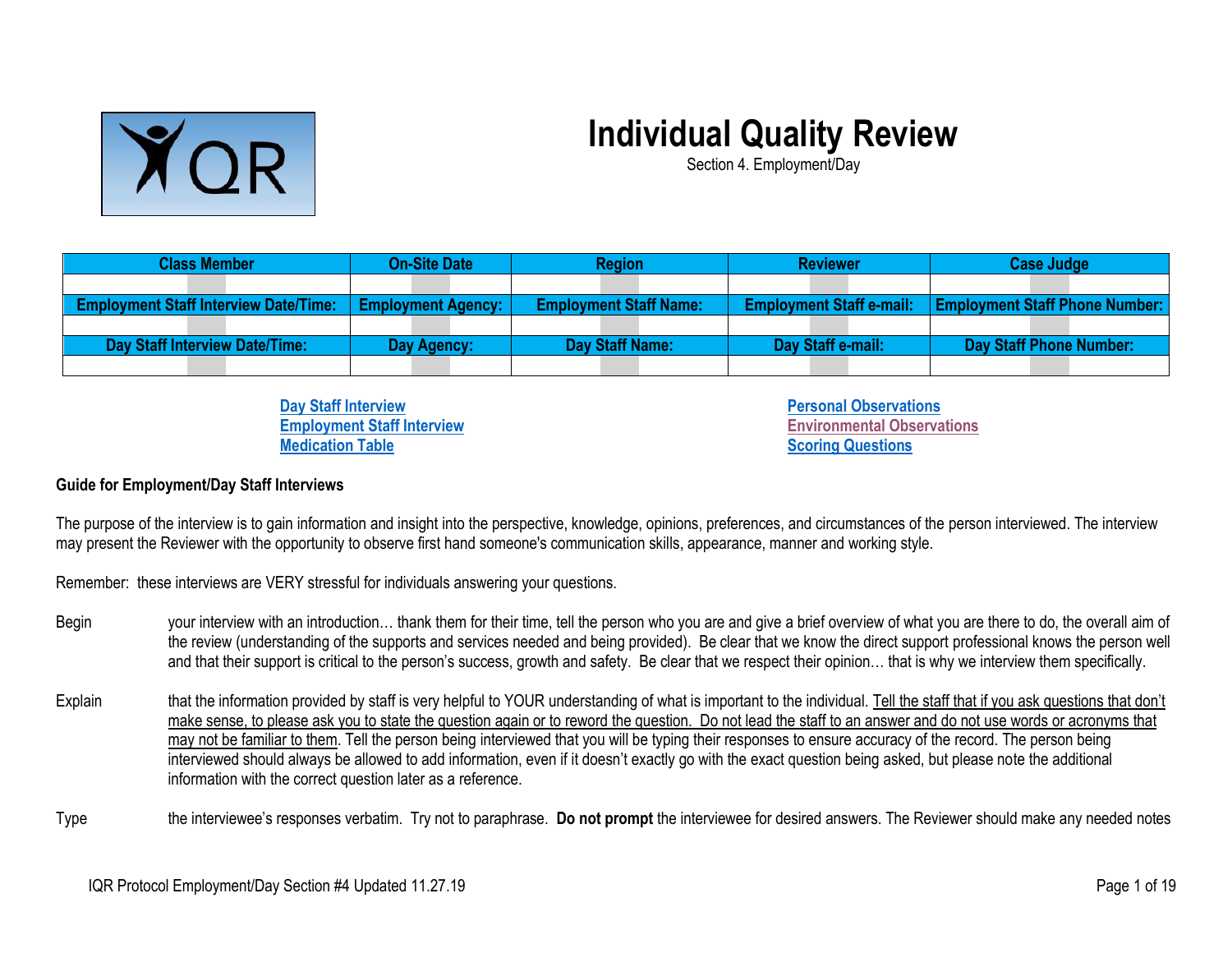

## **Individual Quality Review**

Section 4. Employment/Day

| <b>Class Member</b>                          | <b>On-Site Date</b>       | <b>Region</b>                 | <b>Reviewer</b>                 | <b>Case Judge</b>                     |
|----------------------------------------------|---------------------------|-------------------------------|---------------------------------|---------------------------------------|
|                                              |                           |                               |                                 |                                       |
| <b>Employment Staff Interview Date/Time:</b> | <b>Employment Agency:</b> | <b>Employment Staff Name:</b> | <b>Employment Staff e-mail:</b> | <b>Employment Staff Phone Number:</b> |
|                                              |                           |                               |                                 |                                       |
| <b>Day Staff Interview Date/Time:</b>        | Day Agency:               | Day Staff Name:               | Day Staff e-mail:               | Day Staff Phone Number:               |
|                                              |                           |                               |                                 |                                       |

**[Day Staff Interview](#page-2-0) Employment [Staff Interview](#page-7-0) [Medication Table](#page-13-0)**

**[Personal Observations](#page-13-1) [Environmental Observations](#page-14-0) [Scoring Questions](#page-15-0)**

## **Guide for Employment/Day Staff Interviews**

The purpose of the interview is to gain information and insight into the perspective, knowledge, opinions, preferences, and circumstances of the person interviewed. The interview may present the Reviewer with the opportunity to observe first hand someone's communication skills, appearance, manner and working style.

Remember: these interviews are VERY stressful for individuals answering your questions.

- Begin your interview with an introduction... thank them for their time, tell the person who you are and give a brief overview of what you are there to do, the overall aim of the review (understanding of the supports and services needed and being provided). Be clear that we know the direct support professional knows the person well and that their support is critical to the person's success, growth and safety. Be clear that we respect their opinion… that is why we interview them specifically.
- Explain that the information provided by staff is very helpful to YOUR understanding of what is important to the individual. Tell the staff that if you ask questions that don't make sense, to please ask you to state the question again or to reword the question. Do not lead the staff to an answer and do not use words or acronyms that may not be familiar to them. Tell the person being interviewed that you will be typing their responses to ensure accuracy of the record. The person being interviewed should always be allowed to add information, even if it doesn't exactly go with the exact question being asked, but please note the additional information with the correct question later as a reference.
- Type the interviewee's responses verbatim. Try not to paraphrase. **Do not prompt** the interviewee for desired answers. The Reviewer should make any needed notes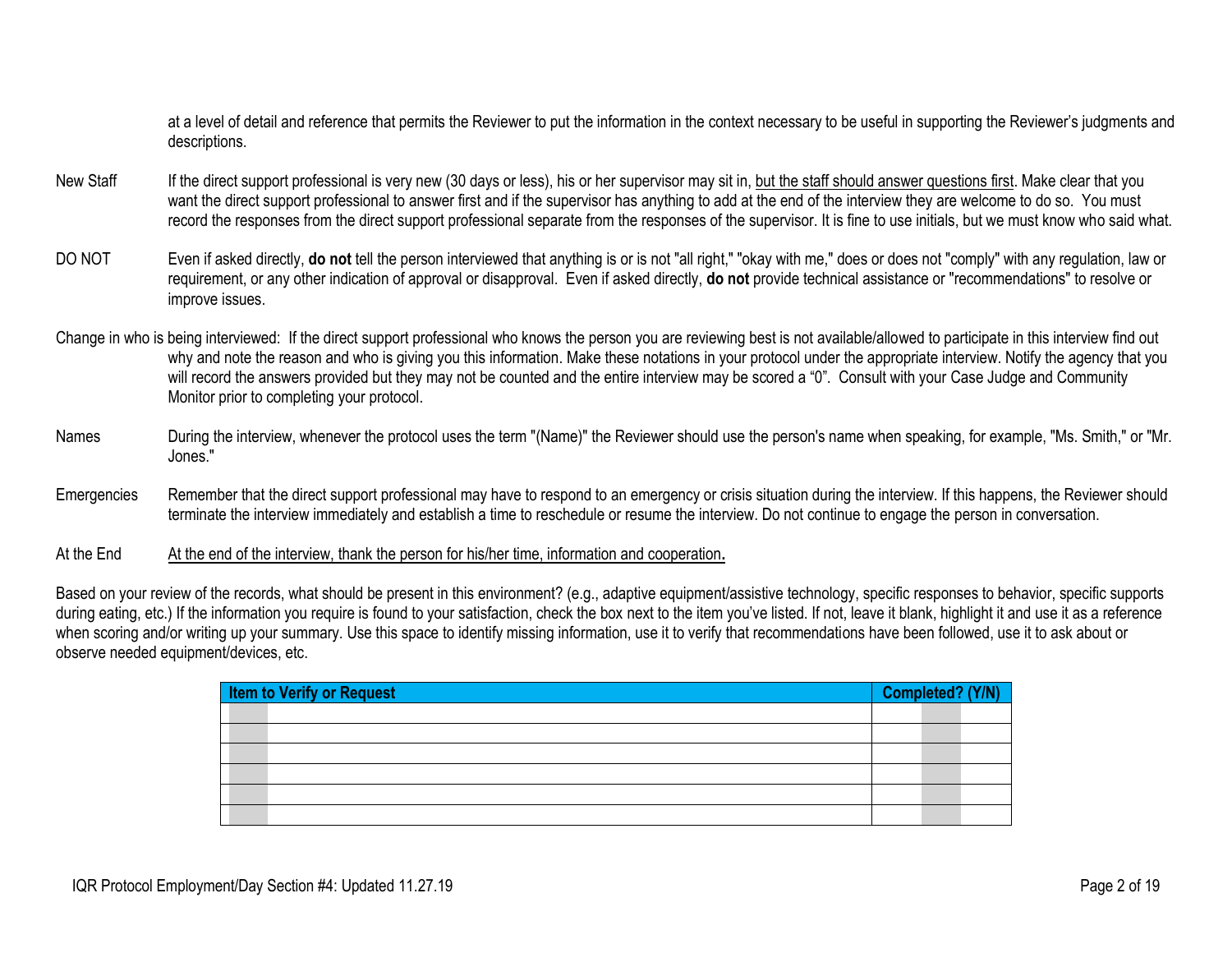at a level of detail and reference that permits the Reviewer to put the information in the context necessary to be useful in supporting the Reviewer's judgments and descriptions.

- New Staff If the direct support professional is very new (30 days or less), his or her supervisor may sit in, but the staff should answer questions first. Make clear that you want the direct support professional to answer first and if the supervisor has anything to add at the end of the interview they are welcome to do so. You must record the responses from the direct support professional separate from the responses of the supervisor. It is fine to use initials, but we must know who said what.
- DO NOT Even if asked directly, **do not** tell the person interviewed that anything is or is not "all right," "okay with me," does or does not "comply" with any regulation, law or requirement, or any other indication of approval or disapproval. Even if asked directly, **do not** provide technical assistance or "recommendations" to resolve or improve issues.
- Change in who is being interviewed: If the direct support professional who knows the person you are reviewing best is not available/allowed to participate in this interview find out why and note the reason and who is giving you this information. Make these notations in your protocol under the appropriate interview. Notify the agency that you will record the answers provided but they may not be counted and the entire interview may be scored a "0". Consult with your Case Judge and Community Monitor prior to completing your protocol.
- Names During the interview, whenever the protocol uses the term "(Name)" the Reviewer should use the person's name when speaking, for example, "Ms. Smith," or "Mr. Jones."
- Emergencies Remember that the direct support professional may have to respond to an emergency or crisis situation during the interview. If this happens, the Reviewer should terminate the interview immediately and establish a time to reschedule or resume the interview. Do not continue to engage the person in conversation.

At the End At the end of the interview, thank the person for his/her time, information and cooperation.

Based on your review of the records, what should be present in this environment? (e.g., adaptive equipment/assistive technology, specific responses to behavior, specific supports during eating, etc.) If the information you require is found to your satisfaction, check the box next to the item you've listed. If not, leave it blank, highlight it and use it as a reference when scoring and/or writing up your summary. Use this space to identify missing information, use it to verify that recommendations have been followed, use it to ask about or observe needed equipment/devices, etc.

| Item to Verify or Request | Completed? (Y/N) |
|---------------------------|------------------|
|                           |                  |
|                           |                  |
|                           |                  |
|                           |                  |
|                           |                  |
|                           |                  |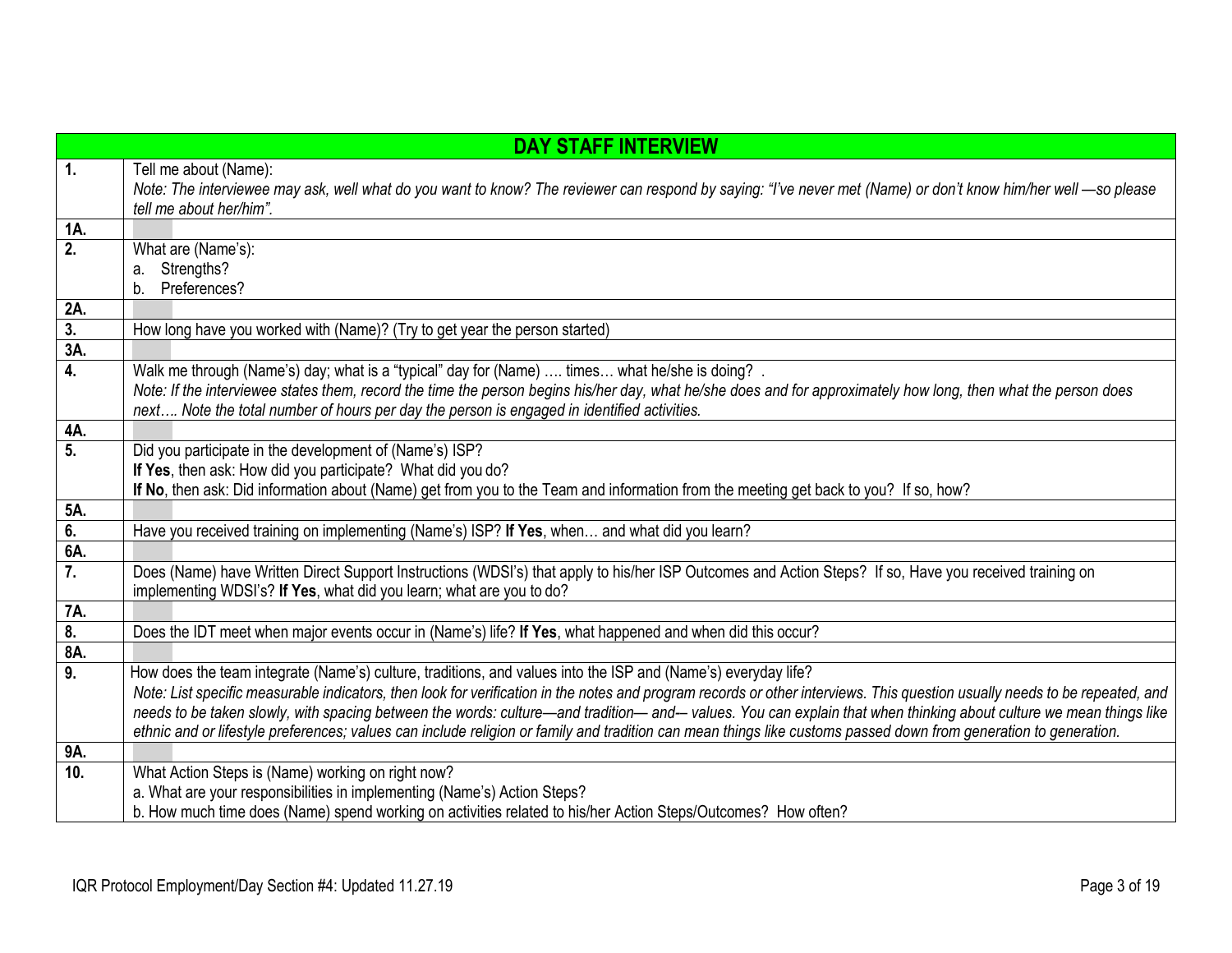<span id="page-2-0"></span>

|                           | <b>DAY STAFF INTERVIEW</b>                                                                                                                                                                                                                                                                                                                                                                                                                                                                                                                                                                                                            |
|---------------------------|---------------------------------------------------------------------------------------------------------------------------------------------------------------------------------------------------------------------------------------------------------------------------------------------------------------------------------------------------------------------------------------------------------------------------------------------------------------------------------------------------------------------------------------------------------------------------------------------------------------------------------------|
| $\overline{1}$ .          | Tell me about (Name):<br>Note: The interviewee may ask, well what do you want to know? The reviewer can respond by saying: "I've never met (Name) or don't know him/her well - so please<br>tell me about her/him".                                                                                                                                                                                                                                                                                                                                                                                                                   |
| 1A.                       |                                                                                                                                                                                                                                                                                                                                                                                                                                                                                                                                                                                                                                       |
| 2.                        | What are (Name's):<br>Strengths?<br>a.<br>Preferences?<br>$\mathsf{b}$ .                                                                                                                                                                                                                                                                                                                                                                                                                                                                                                                                                              |
| 2A.                       |                                                                                                                                                                                                                                                                                                                                                                                                                                                                                                                                                                                                                                       |
| $\frac{3}{3}$             | How long have you worked with (Name)? (Try to get year the person started)                                                                                                                                                                                                                                                                                                                                                                                                                                                                                                                                                            |
|                           |                                                                                                                                                                                                                                                                                                                                                                                                                                                                                                                                                                                                                                       |
| 4.                        | Walk me through (Name's) day; what is a "typical" day for (Name)  times what he/she is doing? .<br>Note: If the interviewee states them, record the time the person begins his/her day, what he/she does and for approximately how long, then what the person does<br>next Note the total number of hours per day the person is engaged in identified activities.                                                                                                                                                                                                                                                                     |
| 4A.                       |                                                                                                                                                                                                                                                                                                                                                                                                                                                                                                                                                                                                                                       |
| 5.                        | Did you participate in the development of (Name's) ISP?<br>If Yes, then ask: How did you participate? What did you do?<br>If No, then ask: Did information about (Name) get from you to the Team and information from the meeting get back to you? If so, how?                                                                                                                                                                                                                                                                                                                                                                        |
| 5A.                       |                                                                                                                                                                                                                                                                                                                                                                                                                                                                                                                                                                                                                                       |
| 6.                        | Have you received training on implementing (Name's) ISP? If Yes, when and what did you learn?                                                                                                                                                                                                                                                                                                                                                                                                                                                                                                                                         |
| 6A.                       |                                                                                                                                                                                                                                                                                                                                                                                                                                                                                                                                                                                                                                       |
| 7.                        | Does (Name) have Written Direct Support Instructions (WDSI's) that apply to his/her ISP Outcomes and Action Steps? If so, Have you received training on<br>implementing WDSI's? If Yes, what did you learn; what are you to do?                                                                                                                                                                                                                                                                                                                                                                                                       |
| 7A.                       |                                                                                                                                                                                                                                                                                                                                                                                                                                                                                                                                                                                                                                       |
| $\overline{\mathbf{8}}$ . | Does the IDT meet when major events occur in (Name's) life? If Yes, what happened and when did this occur?                                                                                                                                                                                                                                                                                                                                                                                                                                                                                                                            |
| 8A.                       |                                                                                                                                                                                                                                                                                                                                                                                                                                                                                                                                                                                                                                       |
| 9.                        | How does the team integrate (Name's) culture, traditions, and values into the ISP and (Name's) everyday life?<br>Note: List specific measurable indicators, then look for verification in the notes and program records or other interviews. This question usually needs to be repeated, and<br>needs to be taken slowly, with spacing between the words: culture—and tradition—and— values. You can explain that when thinking about culture we mean things like<br>ethnic and or lifestyle preferences; values can include religion or family and tradition can mean things like customs passed down from generation to generation. |
| 9A.                       |                                                                                                                                                                                                                                                                                                                                                                                                                                                                                                                                                                                                                                       |
| 10.                       | What Action Steps is (Name) working on right now?                                                                                                                                                                                                                                                                                                                                                                                                                                                                                                                                                                                     |
|                           | a. What are your responsibilities in implementing (Name's) Action Steps?                                                                                                                                                                                                                                                                                                                                                                                                                                                                                                                                                              |
|                           | b. How much time does (Name) spend working on activities related to his/her Action Steps/Outcomes? How often?                                                                                                                                                                                                                                                                                                                                                                                                                                                                                                                         |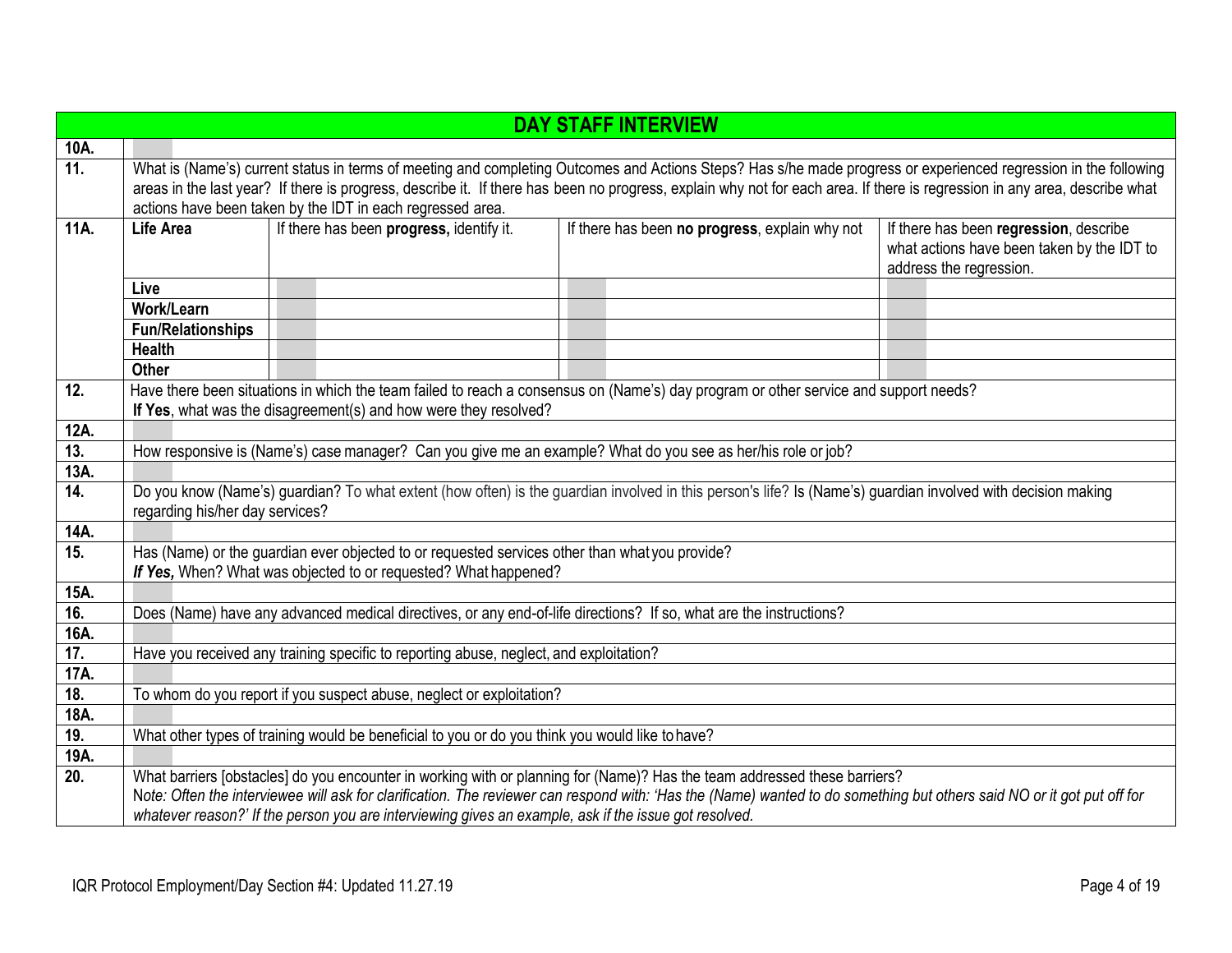|                   |                                                                                                                                                                                                                                                                                                                                                                                                              |  |                                                                                        | <b>DAY STAFF INTERVIEW</b>                                                                                                                                                                                                                                                                          |                                                                                                                 |
|-------------------|--------------------------------------------------------------------------------------------------------------------------------------------------------------------------------------------------------------------------------------------------------------------------------------------------------------------------------------------------------------------------------------------------------------|--|----------------------------------------------------------------------------------------|-----------------------------------------------------------------------------------------------------------------------------------------------------------------------------------------------------------------------------------------------------------------------------------------------------|-----------------------------------------------------------------------------------------------------------------|
| 10A.              |                                                                                                                                                                                                                                                                                                                                                                                                              |  |                                                                                        |                                                                                                                                                                                                                                                                                                     |                                                                                                                 |
| $\overline{11}$ . | What is (Name's) current status in terms of meeting and completing Outcomes and Actions Steps? Has s/he made progress or experienced regression in the following<br>areas in the last year? If there is progress, describe it. If there has been no progress, explain why not for each area. If there is regression in any area, describe what<br>actions have been taken by the IDT in each regressed area. |  |                                                                                        |                                                                                                                                                                                                                                                                                                     |                                                                                                                 |
| 11A.              | <b>Life Area</b>                                                                                                                                                                                                                                                                                                                                                                                             |  | If there has been progress, identify it.                                               | If there has been no progress, explain why not                                                                                                                                                                                                                                                      | If there has been regression, describe<br>what actions have been taken by the IDT to<br>address the regression. |
|                   | Live                                                                                                                                                                                                                                                                                                                                                                                                         |  |                                                                                        |                                                                                                                                                                                                                                                                                                     |                                                                                                                 |
|                   | Work/Learn                                                                                                                                                                                                                                                                                                                                                                                                   |  |                                                                                        |                                                                                                                                                                                                                                                                                                     |                                                                                                                 |
|                   | <b>Fun/Relationships</b>                                                                                                                                                                                                                                                                                                                                                                                     |  |                                                                                        |                                                                                                                                                                                                                                                                                                     |                                                                                                                 |
|                   | <b>Health</b>                                                                                                                                                                                                                                                                                                                                                                                                |  |                                                                                        |                                                                                                                                                                                                                                                                                                     |                                                                                                                 |
|                   | <b>Other</b>                                                                                                                                                                                                                                                                                                                                                                                                 |  |                                                                                        |                                                                                                                                                                                                                                                                                                     |                                                                                                                 |
| 12.               |                                                                                                                                                                                                                                                                                                                                                                                                              |  |                                                                                        | Have there been situations in which the team failed to reach a consensus on (Name's) day program or other service and support needs?                                                                                                                                                                |                                                                                                                 |
|                   |                                                                                                                                                                                                                                                                                                                                                                                                              |  | If Yes, what was the disagreement(s) and how were they resolved?                       |                                                                                                                                                                                                                                                                                                     |                                                                                                                 |
| 12A.              |                                                                                                                                                                                                                                                                                                                                                                                                              |  |                                                                                        |                                                                                                                                                                                                                                                                                                     |                                                                                                                 |
| 13.               |                                                                                                                                                                                                                                                                                                                                                                                                              |  |                                                                                        | How responsive is (Name's) case manager? Can you give me an example? What do you see as her/his role or job?                                                                                                                                                                                        |                                                                                                                 |
| 13A.              |                                                                                                                                                                                                                                                                                                                                                                                                              |  |                                                                                        |                                                                                                                                                                                                                                                                                                     |                                                                                                                 |
| 14.               | Do you know (Name's) guardian? To what extent (how often) is the guardian involved in this person's life? Is (Name's) guardian involved with decision making<br>regarding his/her day services?                                                                                                                                                                                                              |  |                                                                                        |                                                                                                                                                                                                                                                                                                     |                                                                                                                 |
| 14A.              |                                                                                                                                                                                                                                                                                                                                                                                                              |  |                                                                                        |                                                                                                                                                                                                                                                                                                     |                                                                                                                 |
| 15.               | Has (Name) or the guardian ever objected to or requested services other than what you provide?<br>If Yes, When? What was objected to or requested? What happened?                                                                                                                                                                                                                                            |  |                                                                                        |                                                                                                                                                                                                                                                                                                     |                                                                                                                 |
| 15A.              |                                                                                                                                                                                                                                                                                                                                                                                                              |  |                                                                                        |                                                                                                                                                                                                                                                                                                     |                                                                                                                 |
| 16.               |                                                                                                                                                                                                                                                                                                                                                                                                              |  |                                                                                        | Does (Name) have any advanced medical directives, or any end-of-life directions? If so, what are the instructions?                                                                                                                                                                                  |                                                                                                                 |
| 16A.              |                                                                                                                                                                                                                                                                                                                                                                                                              |  |                                                                                        |                                                                                                                                                                                                                                                                                                     |                                                                                                                 |
| 17.               |                                                                                                                                                                                                                                                                                                                                                                                                              |  | Have you received any training specific to reporting abuse, neglect, and exploitation? |                                                                                                                                                                                                                                                                                                     |                                                                                                                 |
| 17A.              |                                                                                                                                                                                                                                                                                                                                                                                                              |  |                                                                                        |                                                                                                                                                                                                                                                                                                     |                                                                                                                 |
| 18.               |                                                                                                                                                                                                                                                                                                                                                                                                              |  | To whom do you report if you suspect abuse, neglect or exploitation?                   |                                                                                                                                                                                                                                                                                                     |                                                                                                                 |
| 18A.              |                                                                                                                                                                                                                                                                                                                                                                                                              |  |                                                                                        |                                                                                                                                                                                                                                                                                                     |                                                                                                                 |
| 19.               |                                                                                                                                                                                                                                                                                                                                                                                                              |  |                                                                                        | What other types of training would be beneficial to you or do you think you would like to have?                                                                                                                                                                                                     |                                                                                                                 |
| 19A.              |                                                                                                                                                                                                                                                                                                                                                                                                              |  |                                                                                        |                                                                                                                                                                                                                                                                                                     |                                                                                                                 |
| $\overline{20}$ . |                                                                                                                                                                                                                                                                                                                                                                                                              |  |                                                                                        | What barriers [obstacles] do you encounter in working with or planning for (Name)? Has the team addressed these barriers?<br>Note: Often the interviewee will ask for clarification. The reviewer can respond with: 'Has the (Name) wanted to do something but others said NO or it got put off for |                                                                                                                 |
|                   |                                                                                                                                                                                                                                                                                                                                                                                                              |  |                                                                                        | whatever reason?' If the person you are interviewing gives an example, ask if the issue got resolved.                                                                                                                                                                                               |                                                                                                                 |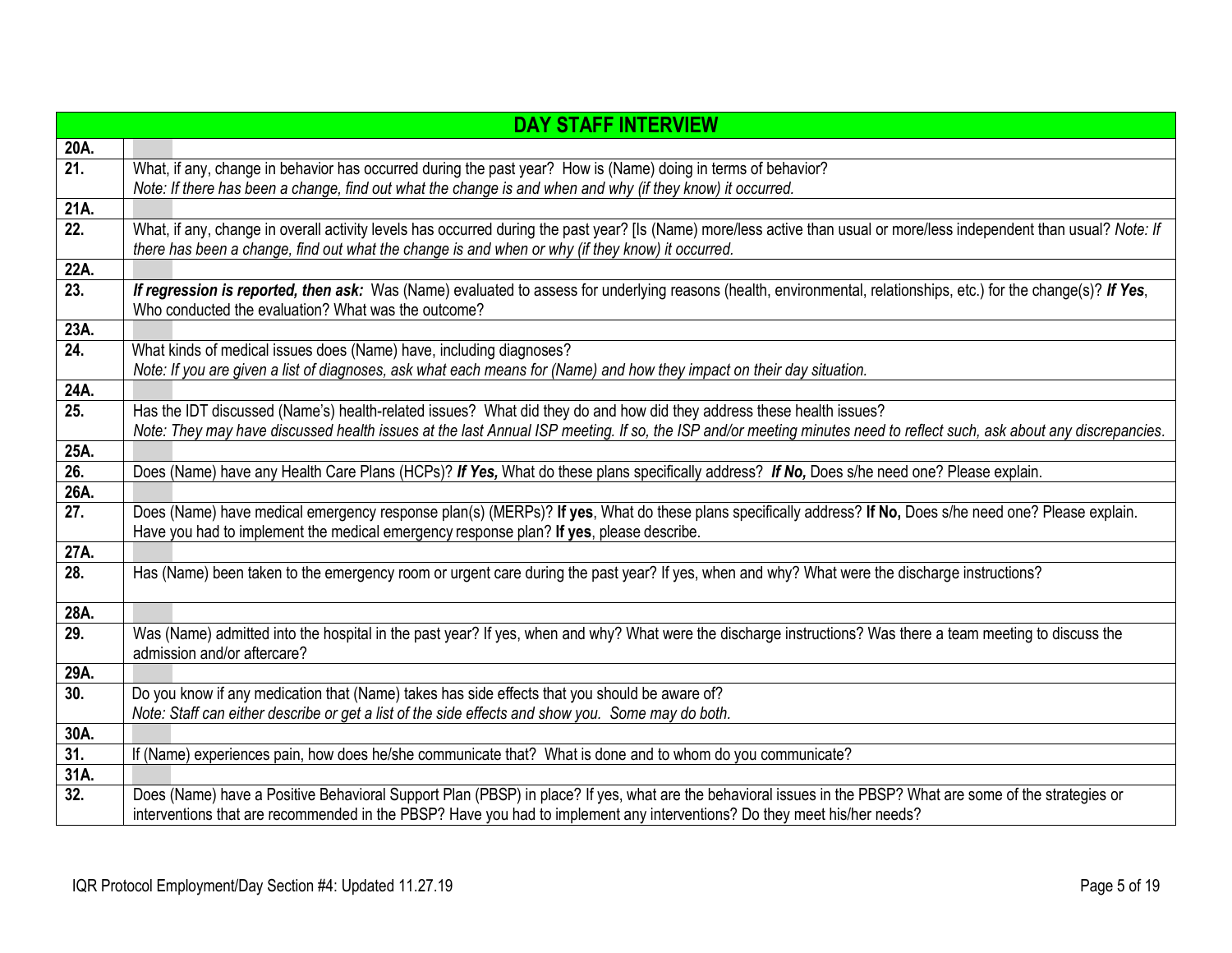|                   | <b>DAY STAFF INTERVIEW</b>                                                                                                                                              |
|-------------------|-------------------------------------------------------------------------------------------------------------------------------------------------------------------------|
| 20A.              |                                                                                                                                                                         |
| $\overline{21}$ . | What, if any, change in behavior has occurred during the past year? How is (Name) doing in terms of behavior?                                                           |
|                   | Note: If there has been a change, find out what the change is and when and why (if they know) it occurred.                                                              |
| 21A.              |                                                                                                                                                                         |
| 22.               | What, if any, change in overall activity levels has occurred during the past year? [Is (Name) more/less active than usual or more/less independent than usual? Note: If |
|                   | there has been a change, find out what the change is and when or why (if they know) it occurred.                                                                        |
| 22A.              |                                                                                                                                                                         |
| $\overline{23}$ . | If regression is reported, then ask: Was (Name) evaluated to assess for underlying reasons (health, environmental, relationships, etc.) for the change(s)? If Yes,      |
|                   | Who conducted the evaluation? What was the outcome?                                                                                                                     |
| 23A.              |                                                                                                                                                                         |
| 24.               | What kinds of medical issues does (Name) have, including diagnoses?                                                                                                     |
|                   | Note: If you are given a list of diagnoses, ask what each means for (Name) and how they impact on their day situation.                                                  |
| 24A.              |                                                                                                                                                                         |
| 25.               | Has the IDT discussed (Name's) health-related issues? What did they do and how did they address these health issues?                                                    |
|                   | Note: They may have discussed health issues at the last Annual ISP meeting. If so, the ISP and/or meeting minutes need to reflect such, ask about any discrepancies.    |
| 25A.              |                                                                                                                                                                         |
| 26.               | Does (Name) have any Health Care Plans (HCPs)? If Yes, What do these plans specifically address? If No, Does s/he need one? Please explain.                             |
| 26A.              |                                                                                                                                                                         |
| 27.               | Does (Name) have medical emergency response plan(s) (MERPs)? If yes, What do these plans specifically address? If No, Does s/he need one? Please explain.               |
| 27A.              | Have you had to implement the medical emergency response plan? If yes, please describe.                                                                                 |
| 28.               |                                                                                                                                                                         |
|                   | Has (Name) been taken to the emergency room or urgent care during the past year? If yes, when and why? What were the discharge instructions?                            |
| 28A.              |                                                                                                                                                                         |
| 29.               | Was (Name) admitted into the hospital in the past year? If yes, when and why? What were the discharge instructions? Was there a team meeting to discuss the             |
|                   | admission and/or aftercare?                                                                                                                                             |
| 29A.              |                                                                                                                                                                         |
| 30.               | Do you know if any medication that (Name) takes has side effects that you should be aware of?                                                                           |
|                   | Note: Staff can either describe or get a list of the side effects and show you. Some may do both.                                                                       |
| 30A.              |                                                                                                                                                                         |
| 31.               | If (Name) experiences pain, how does he/she communicate that? What is done and to whom do you communicate?                                                              |
| 31A.              |                                                                                                                                                                         |
| 32.               | Does (Name) have a Positive Behavioral Support Plan (PBSP) in place? If yes, what are the behavioral issues in the PBSP? What are some of the strategies or             |
|                   | interventions that are recommended in the PBSP? Have you had to implement any interventions? Do they meet his/her needs?                                                |
|                   |                                                                                                                                                                         |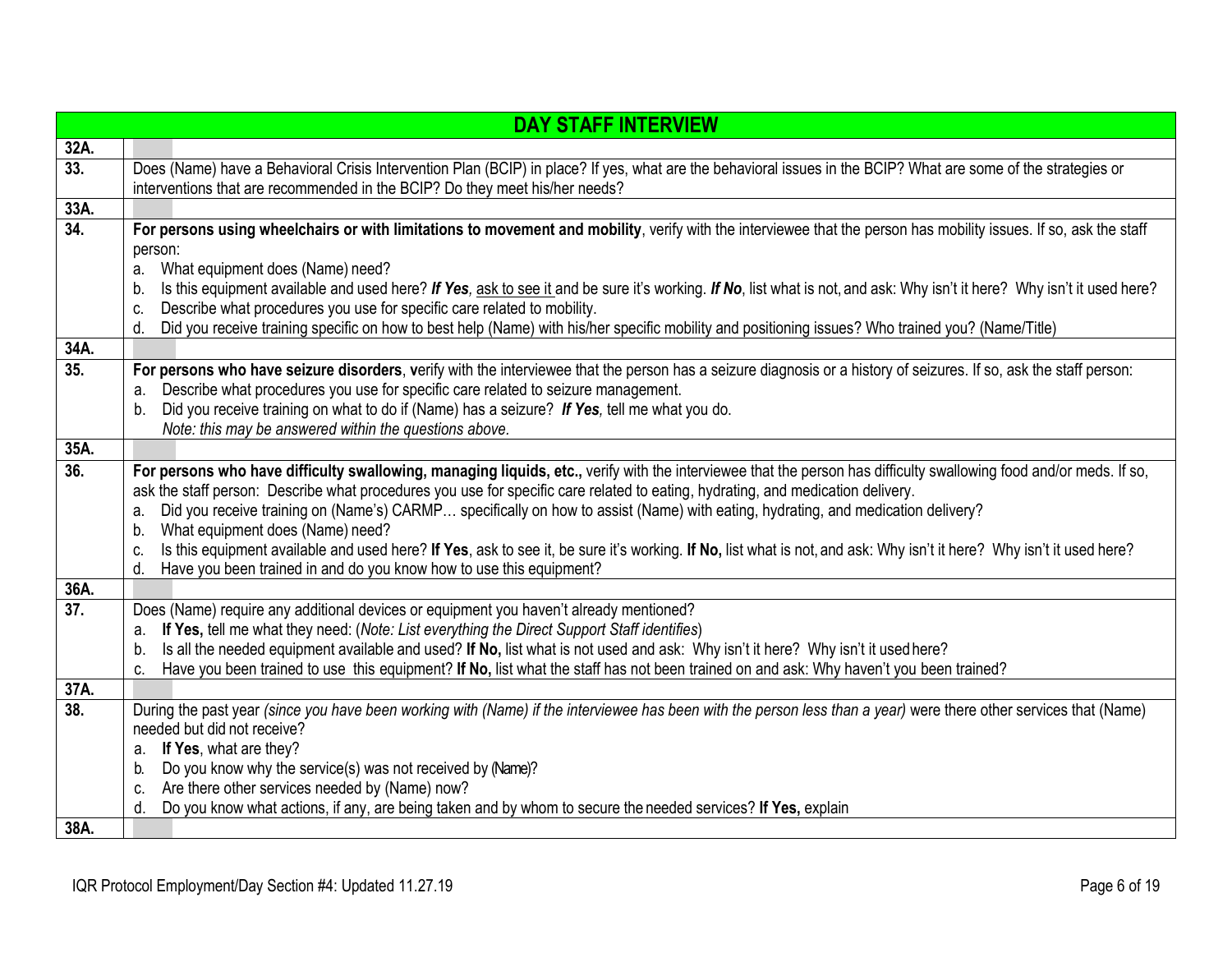|                   | <b>DAY STAFF INTERVIEW</b>                                                                                                                                                    |
|-------------------|-------------------------------------------------------------------------------------------------------------------------------------------------------------------------------|
| 32A.              |                                                                                                                                                                               |
| 33.               | Does (Name) have a Behavioral Crisis Intervention Plan (BCIP) in place? If yes, what are the behavioral issues in the BCIP? What are some of the strategies or                |
|                   | interventions that are recommended in the BCIP? Do they meet his/her needs?                                                                                                   |
| 33A.              |                                                                                                                                                                               |
| $\overline{34}$ . | For persons using wheelchairs or with limitations to movement and mobility, verify with the interviewee that the person has mobility issues. If so, ask the staff             |
|                   | person:                                                                                                                                                                       |
|                   | What equipment does (Name) need?<br>a.                                                                                                                                        |
|                   | Is this equipment available and used here? If Yes, ask to see it and be sure it's working. If No, list what is not, and ask: Why isn't it here? Why isn't it used here?<br>b. |
|                   | Describe what procedures you use for specific care related to mobility.<br>C.                                                                                                 |
|                   | Did you receive training specific on how to best help (Name) with his/her specific mobility and positioning issues? Who trained you? (Name/Title)<br>d.                       |
| 34A.              |                                                                                                                                                                               |
| 35.               | For persons who have seizure disorders, verify with the interviewee that the person has a seizure diagnosis or a history of seizures. If so, ask the staff person:            |
|                   | Describe what procedures you use for specific care related to seizure management.<br>a.                                                                                       |
|                   | Did you receive training on what to do if (Name) has a seizure? If Yes, tell me what you do.<br>b.                                                                            |
|                   | Note: this may be answered within the questions above.                                                                                                                        |
| 35A.              |                                                                                                                                                                               |
| 36.               | For persons who have difficulty swallowing, managing liquids, etc., verify with the interviewee that the person has difficulty swallowing food and/or meds. If so,            |
|                   | ask the staff person: Describe what procedures you use for specific care related to eating, hydrating, and medication delivery.                                               |
|                   | Did you receive training on (Name's) CARMP specifically on how to assist (Name) with eating, hydrating, and medication delivery?<br>a.                                        |
|                   | What equipment does (Name) need?<br>b.                                                                                                                                        |
|                   | Is this equipment available and used here? If Yes, ask to see it, be sure it's working. If No, list what is not, and ask: Why isn't it here? Why isn't it used here?<br>C.    |
|                   | Have you been trained in and do you know how to use this equipment?<br>d.                                                                                                     |
| 36A.              |                                                                                                                                                                               |
| 37.               | Does (Name) require any additional devices or equipment you haven't already mentioned?                                                                                        |
|                   | a. If Yes, tell me what they need: (Note: List everything the Direct Support Staff identifies)                                                                                |
|                   | Is all the needed equipment available and used? If No, list what is not used and ask: Why isn't it here? Why isn't it used here?<br>b.                                        |
|                   | Have you been trained to use this equipment? If No, list what the staff has not been trained on and ask: Why haven't you been trained?<br>C.                                  |
| 37A.              |                                                                                                                                                                               |
| 38.               | During the past year (since you have been working with (Name) if the interviewee has been with the person less than a year) were there other services that (Name)             |
|                   | needed but did not receive?                                                                                                                                                   |
|                   | If Yes, what are they?<br>a.                                                                                                                                                  |
|                   | Do you know why the service(s) was not received by (Name)?<br>b.                                                                                                              |
|                   | Are there other services needed by (Name) now?<br>C.                                                                                                                          |
|                   | Do you know what actions, if any, are being taken and by whom to secure the needed services? If Yes, explain<br>d.                                                            |
| 38A.              |                                                                                                                                                                               |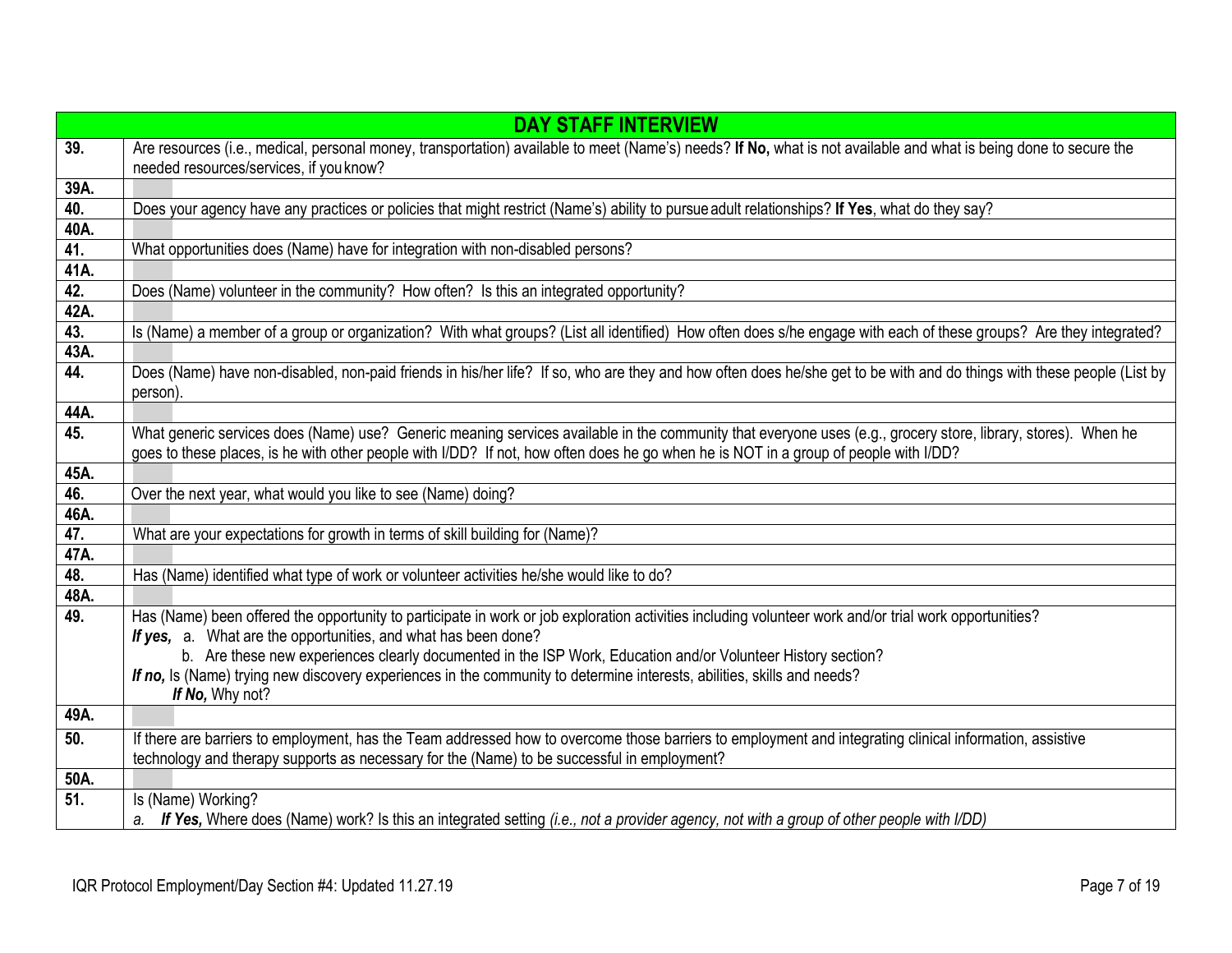|         | <b>DAY STAFF INTERVIEW</b>                                                                                                                                                                                                                                                                            |
|---------|-------------------------------------------------------------------------------------------------------------------------------------------------------------------------------------------------------------------------------------------------------------------------------------------------------|
| 39.     | Are resources (i.e., medical, personal money, transportation) available to meet (Name's) needs? If No, what is not available and what is being done to secure the<br>needed resources/services, if you know?                                                                                          |
| 39A.    |                                                                                                                                                                                                                                                                                                       |
| 40.     | Does your agency have any practices or policies that might restrict (Name's) ability to pursue adult relationships? If Yes, what do they say?                                                                                                                                                         |
| $40A$ . |                                                                                                                                                                                                                                                                                                       |
| 41.     | What opportunities does (Name) have for integration with non-disabled persons?                                                                                                                                                                                                                        |
| 41A.    |                                                                                                                                                                                                                                                                                                       |
| 42.     | Does (Name) volunteer in the community? How often? Is this an integrated opportunity?                                                                                                                                                                                                                 |
| 42A.    |                                                                                                                                                                                                                                                                                                       |
| 43.     | Is (Name) a member of a group or organization? With what groups? (List all identified) How often does s/he engage with each of these groups? Are they integrated?                                                                                                                                     |
| 43A.    |                                                                                                                                                                                                                                                                                                       |
| 44.     | Does (Name) have non-disabled, non-paid friends in his/her life? If so, who are they and how often does he/she get to be with and do things with these people (List by<br>person).                                                                                                                    |
| 44A.    |                                                                                                                                                                                                                                                                                                       |
| 45.     | What generic services does (Name) use? Generic meaning services available in the community that everyone uses (e.g., grocery store, library, stores). When he<br>goes to these places, is he with other people with I/DD? If not, how often does he go when he is NOT in a group of people with I/DD? |
| 45A.    |                                                                                                                                                                                                                                                                                                       |
| 46.     | Over the next year, what would you like to see (Name) doing?                                                                                                                                                                                                                                          |
| 46A.    |                                                                                                                                                                                                                                                                                                       |
| 47.     | What are your expectations for growth in terms of skill building for (Name)?                                                                                                                                                                                                                          |
| 47A.    |                                                                                                                                                                                                                                                                                                       |
| 48.     | Has (Name) identified what type of work or volunteer activities he/she would like to do?                                                                                                                                                                                                              |
| 48A.    |                                                                                                                                                                                                                                                                                                       |
| 49.     | Has (Name) been offered the opportunity to participate in work or job exploration activities including volunteer work and/or trial work opportunities?                                                                                                                                                |
|         | If yes, a. What are the opportunities, and what has been done?<br>b. Are these new experiences clearly documented in the ISP Work, Education and/or Volunteer History section?                                                                                                                        |
|         | If no, Is (Name) trying new discovery experiences in the community to determine interests, abilities, skills and needs?                                                                                                                                                                               |
|         | If No, Why not?                                                                                                                                                                                                                                                                                       |
| 49A.    |                                                                                                                                                                                                                                                                                                       |
| 50.     | If there are barriers to employment, has the Team addressed how to overcome those barriers to employment and integrating clinical information, assistive                                                                                                                                              |
|         | technology and therapy supports as necessary for the (Name) to be successful in employment?                                                                                                                                                                                                           |
| 50A.    |                                                                                                                                                                                                                                                                                                       |
| 51.     | Is (Name) Working?                                                                                                                                                                                                                                                                                    |
|         | a. If Yes, Where does (Name) work? Is this an integrated setting (i.e., not a provider agency, not with a group of other people with I/DD)                                                                                                                                                            |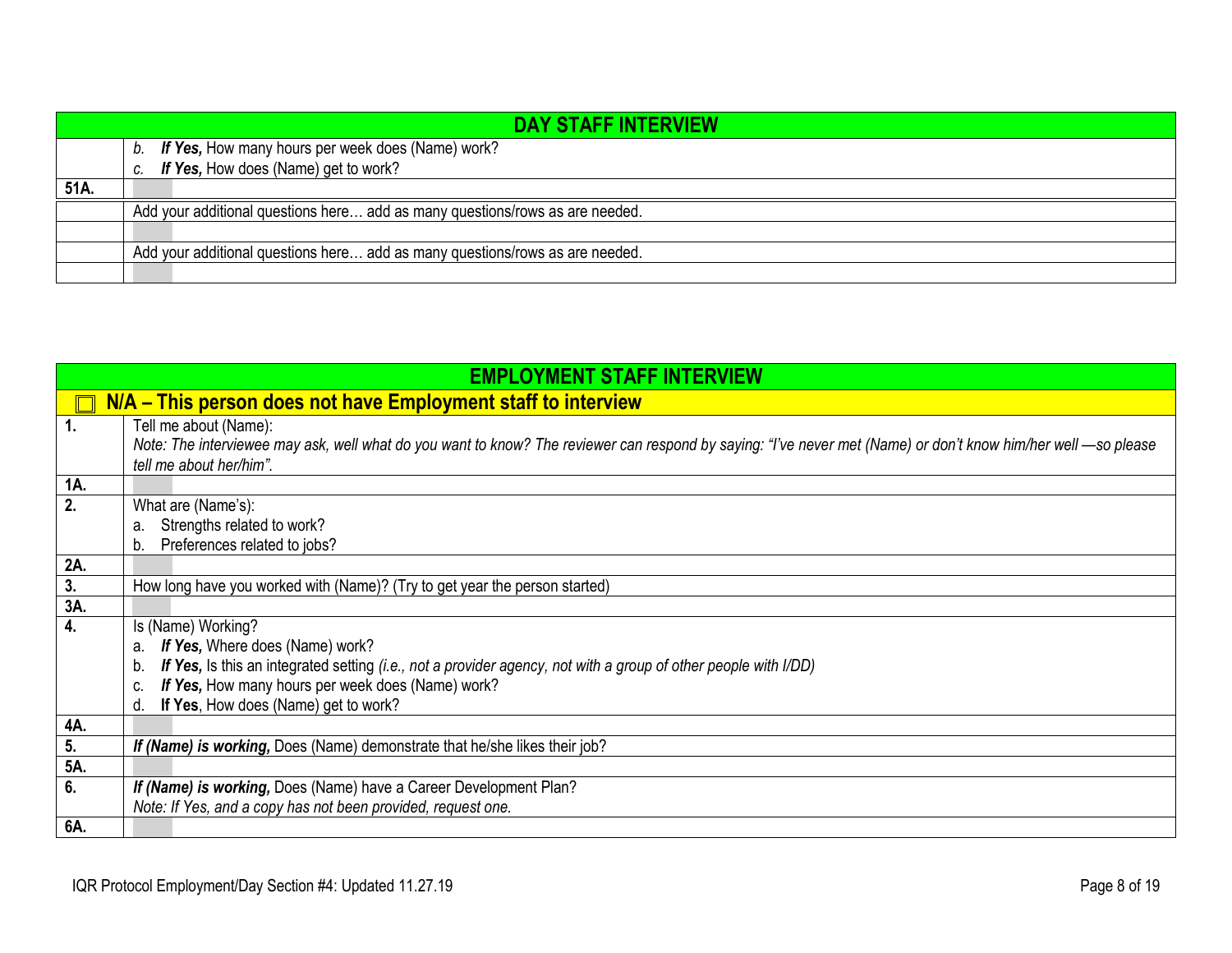|      |    | <b>DAY STAFF INTERVIEW</b>                                                   |
|------|----|------------------------------------------------------------------------------|
|      |    | b. If Yes, How many hours per week does (Name) work?                         |
|      | C. | If Yes, How does (Name) get to work?                                         |
| 51A. |    |                                                                              |
|      |    | Add your additional questions here add as many questions/rows as are needed. |
|      |    |                                                                              |
|      |    | Add your additional questions here add as many questions/rows as are needed. |
|      |    |                                                                              |

<span id="page-7-0"></span>

|     | <b>EMPLOYMENT STAFF INTERVIEW</b>                                                                                                                              |
|-----|----------------------------------------------------------------------------------------------------------------------------------------------------------------|
|     | N/A – This person does not have Employment staff to interview                                                                                                  |
|     | Tell me about (Name):                                                                                                                                          |
|     | Note: The interviewee may ask, well what do you want to know? The reviewer can respond by saying: "I've never met (Name) or don't know him/her well —so please |
|     | tell me about her/him".                                                                                                                                        |
| 1A. |                                                                                                                                                                |
| 2.  | What are (Name's):                                                                                                                                             |
|     | Strengths related to work?<br>a.                                                                                                                               |
|     | Preferences related to jobs?<br>b.                                                                                                                             |
| 2A. |                                                                                                                                                                |
| 3.  | How long have you worked with (Name)? (Try to get year the person started)                                                                                     |
| 3A. |                                                                                                                                                                |
| 4.  | Is (Name) Working?                                                                                                                                             |
|     | If Yes, Where does (Name) work?<br>a.                                                                                                                          |
|     | If Yes, Is this an integrated setting (i.e., not a provider agency, not with a group of other people with I/DD)<br>b.                                          |
|     | If Yes, How many hours per week does (Name) work?                                                                                                              |
|     | If Yes, How does (Name) get to work?<br>d.                                                                                                                     |
| 4A. |                                                                                                                                                                |
| 5.  | If (Name) is working, Does (Name) demonstrate that he/she likes their job?                                                                                     |
| 5A. |                                                                                                                                                                |
| 6.  | If (Name) is working, Does (Name) have a Career Development Plan?                                                                                              |
|     | Note: If Yes, and a copy has not been provided, request one.                                                                                                   |
| 6A. |                                                                                                                                                                |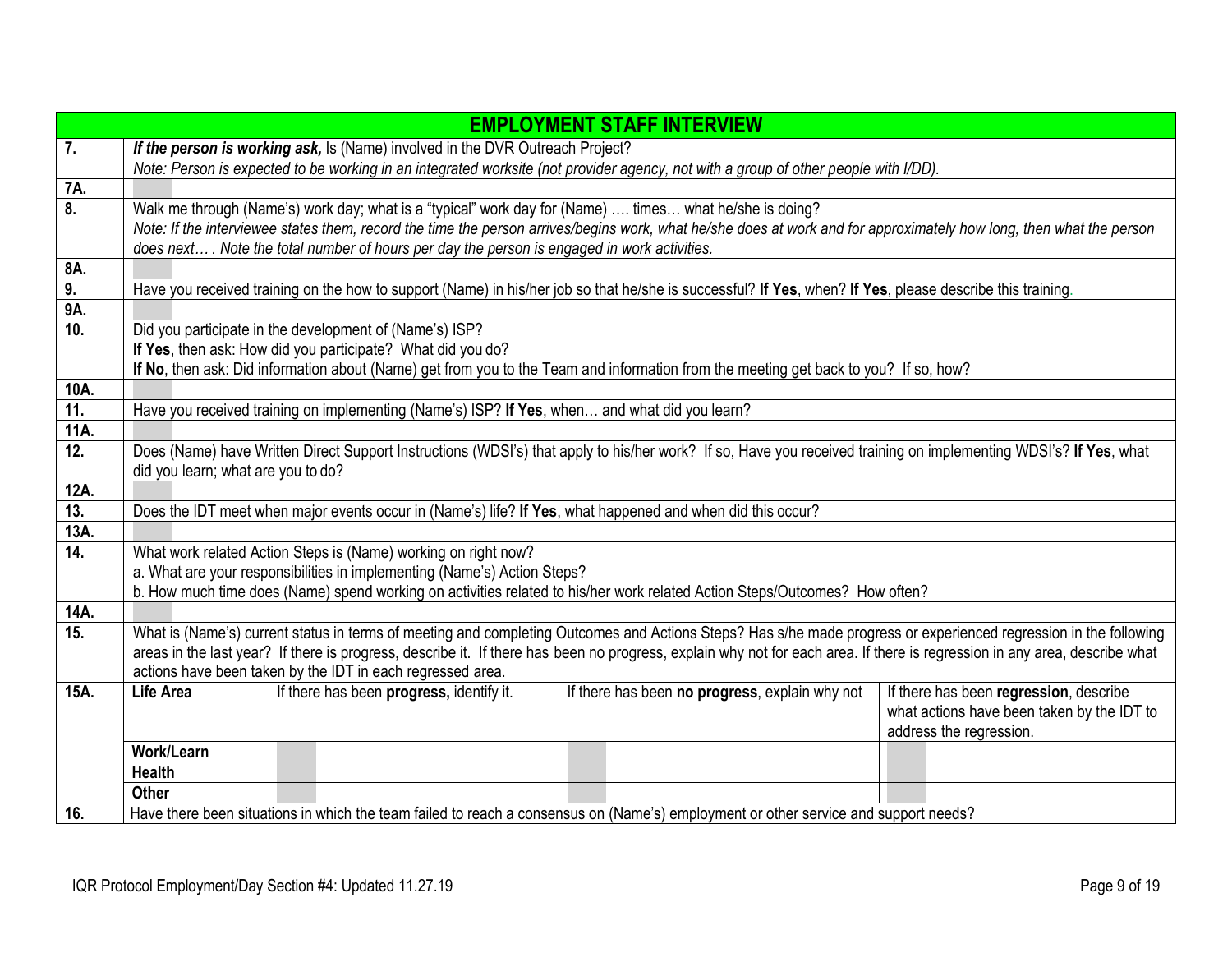|      |                                    |                                                                                                            | <b>EMPLOYMENT STAFF INTERVIEW</b>                                                                                                                                          |                                                                       |
|------|------------------------------------|------------------------------------------------------------------------------------------------------------|----------------------------------------------------------------------------------------------------------------------------------------------------------------------------|-----------------------------------------------------------------------|
| 7.   |                                    | If the person is working ask, Is (Name) involved in the DVR Outreach Project?                              |                                                                                                                                                                            |                                                                       |
|      |                                    |                                                                                                            | Note: Person is expected to be working in an integrated worksite (not provider agency, not with a group of other people with I/DD).                                        |                                                                       |
| 7A.  |                                    |                                                                                                            |                                                                                                                                                                            |                                                                       |
| 8.   |                                    | Walk me through (Name's) work day; what is a "typical" work day for (Name)  times what he/she is doing?    |                                                                                                                                                                            |                                                                       |
|      |                                    |                                                                                                            | Note: If the interviewee states them, record the time the person arrives/begins work, what he/she does at work and for approximately how long, then what the person        |                                                                       |
|      |                                    | does next . Note the total number of hours per day the person is engaged in work activities.               |                                                                                                                                                                            |                                                                       |
| 8A.  |                                    |                                                                                                            |                                                                                                                                                                            |                                                                       |
| 9.   |                                    |                                                                                                            | Have you received training on the how to support (Name) in his/her job so that he/she is successful? If Yes, when? If Yes, please describe this training.                  |                                                                       |
| 9A.  |                                    |                                                                                                            |                                                                                                                                                                            |                                                                       |
| 10.  |                                    | Did you participate in the development of (Name's) ISP?                                                    |                                                                                                                                                                            |                                                                       |
|      |                                    | If Yes, then ask: How did you participate? What did you do?                                                | If No, then ask: Did information about (Name) get from you to the Team and information from the meeting get back to you? If so, how?                                       |                                                                       |
| 10A. |                                    |                                                                                                            |                                                                                                                                                                            |                                                                       |
| 11.  |                                    | Have you received training on implementing (Name's) ISP? If Yes, when and what did you learn?              |                                                                                                                                                                            |                                                                       |
| 11A. |                                    |                                                                                                            |                                                                                                                                                                            |                                                                       |
| 12.  |                                    |                                                                                                            | Does (Name) have Written Direct Support Instructions (WDSI's) that apply to his/her work? If so, Have you received training on implementing WDSI's? If Yes, what           |                                                                       |
|      | did you learn; what are you to do? |                                                                                                            |                                                                                                                                                                            |                                                                       |
| 12A. |                                    |                                                                                                            |                                                                                                                                                                            |                                                                       |
| 13.  |                                    | Does the IDT meet when major events occur in (Name's) life? If Yes, what happened and when did this occur? |                                                                                                                                                                            |                                                                       |
| 13A. |                                    |                                                                                                            |                                                                                                                                                                            |                                                                       |
| 14.  |                                    | What work related Action Steps is (Name) working on right now?                                             |                                                                                                                                                                            |                                                                       |
|      |                                    | a. What are your responsibilities in implementing (Name's) Action Steps?                                   |                                                                                                                                                                            |                                                                       |
|      |                                    |                                                                                                            | b. How much time does (Name) spend working on activities related to his/her work related Action Steps/Outcomes? How often?                                                 |                                                                       |
| 14A. |                                    |                                                                                                            |                                                                                                                                                                            |                                                                       |
| 15.  |                                    |                                                                                                            | What is (Name's) current status in terms of meeting and completing Outcomes and Actions Steps? Has s/he made progress or experienced regression in the following           |                                                                       |
|      |                                    |                                                                                                            | areas in the last year? If there is progress, describe it. If there has been no progress, explain why not for each area. If there is regression in any area, describe what |                                                                       |
|      |                                    | actions have been taken by the IDT in each regressed area.                                                 |                                                                                                                                                                            |                                                                       |
| 15A. | <b>Life Area</b>                   | If there has been progress, identify it.                                                                   | If there has been no progress, explain why not                                                                                                                             | If there has been regression, describe                                |
|      |                                    |                                                                                                            |                                                                                                                                                                            | what actions have been taken by the IDT to<br>address the regression. |
|      | Work/Learn                         |                                                                                                            |                                                                                                                                                                            |                                                                       |
|      | <b>Health</b>                      |                                                                                                            |                                                                                                                                                                            |                                                                       |
|      | Other                              |                                                                                                            |                                                                                                                                                                            |                                                                       |
| 16.  |                                    |                                                                                                            | Have there been situations in which the team failed to reach a consensus on (Name's) employment or other service and support needs?                                        |                                                                       |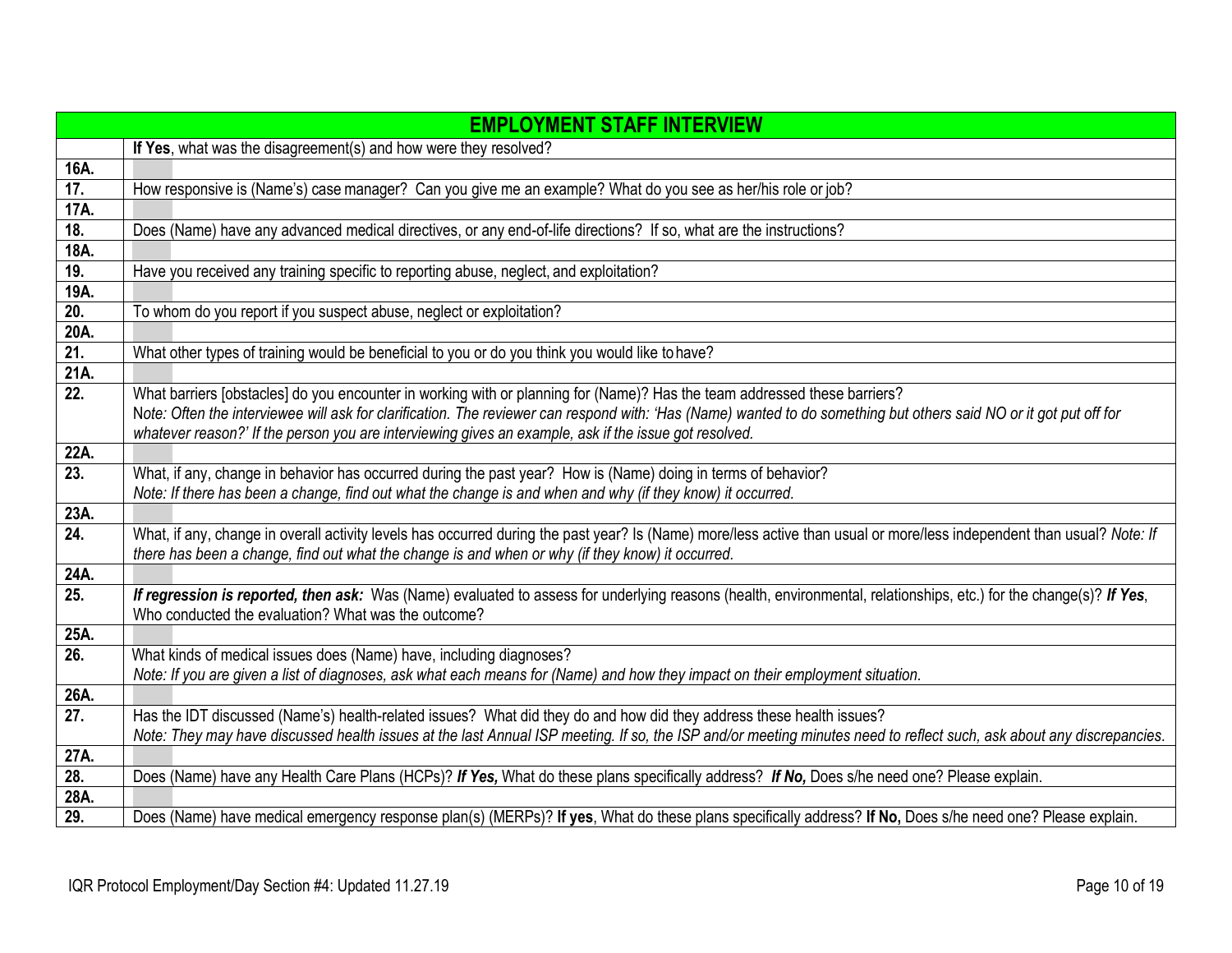|             | <b>EMPLOYMENT STAFF INTERVIEW</b>                                                                                                                                      |
|-------------|------------------------------------------------------------------------------------------------------------------------------------------------------------------------|
|             | If Yes, what was the disagreement(s) and how were they resolved?                                                                                                       |
| 16A.        |                                                                                                                                                                        |
| 17.         | How responsive is (Name's) case manager? Can you give me an example? What do you see as her/his role or job?                                                           |
| 17A.        |                                                                                                                                                                        |
| 18.         | Does (Name) have any advanced medical directives, or any end-of-life directions? If so, what are the instructions?                                                     |
| 18A.        |                                                                                                                                                                        |
| 19.         | Have you received any training specific to reporting abuse, neglect, and exploitation?                                                                                 |
| 19A.        |                                                                                                                                                                        |
| 20.         | To whom do you report if you suspect abuse, neglect or exploitation?                                                                                                   |
| 20A.        |                                                                                                                                                                        |
| 21.         | What other types of training would be beneficial to you or do you think you would like to have?                                                                        |
| 21A.        |                                                                                                                                                                        |
| 22.         | What barriers [obstacles] do you encounter in working with or planning for (Name)? Has the team addressed these barriers?                                              |
|             | Note: Often the interviewee will ask for clarification. The reviewer can respond with: 'Has (Name) wanted to do something but others said NO or it got put off for     |
|             | whatever reason?' If the person you are interviewing gives an example, ask if the issue got resolved.                                                                  |
| 22A.        |                                                                                                                                                                        |
| 23.         | What, if any, change in behavior has occurred during the past year? How is (Name) doing in terms of behavior?                                                          |
|             | Note: If there has been a change, find out what the change is and when and why (if they know) it occurred.                                                             |
| 23A.        |                                                                                                                                                                        |
| 24.         | What, if any, change in overall activity levels has occurred during the past year? Is (Name) more/less active than usual or more/less independent than usual? Note: If |
|             | there has been a change, find out what the change is and when or why (if they know) it occurred.                                                                       |
| 24A.        |                                                                                                                                                                        |
| 25.         | If regression is reported, then ask: Was (Name) evaluated to assess for underlying reasons (health, environmental, relationships, etc.) for the change(s)? If Yes,     |
|             | Who conducted the evaluation? What was the outcome?                                                                                                                    |
| 25A.<br>26. | What kinds of medical issues does (Name) have, including diagnoses?                                                                                                    |
|             | Note: If you are given a list of diagnoses, ask what each means for (Name) and how they impact on their employment situation.                                          |
| 26A.        |                                                                                                                                                                        |
| 27.         | Has the IDT discussed (Name's) health-related issues? What did they do and how did they address these health issues?                                                   |
|             | Note: They may have discussed health issues at the last Annual ISP meeting. If so, the ISP and/or meeting minutes need to reflect such, ask about any discrepancies.   |
| 27A.        |                                                                                                                                                                        |
| 28.         | Does (Name) have any Health Care Plans (HCPs)? If Yes, What do these plans specifically address? If No, Does s/he need one? Please explain.                            |
| 28A.        |                                                                                                                                                                        |
| 29.         | Does (Name) have medical emergency response plan(s) (MERPs)? If yes, What do these plans specifically address? If No, Does s/he need one? Please explain.              |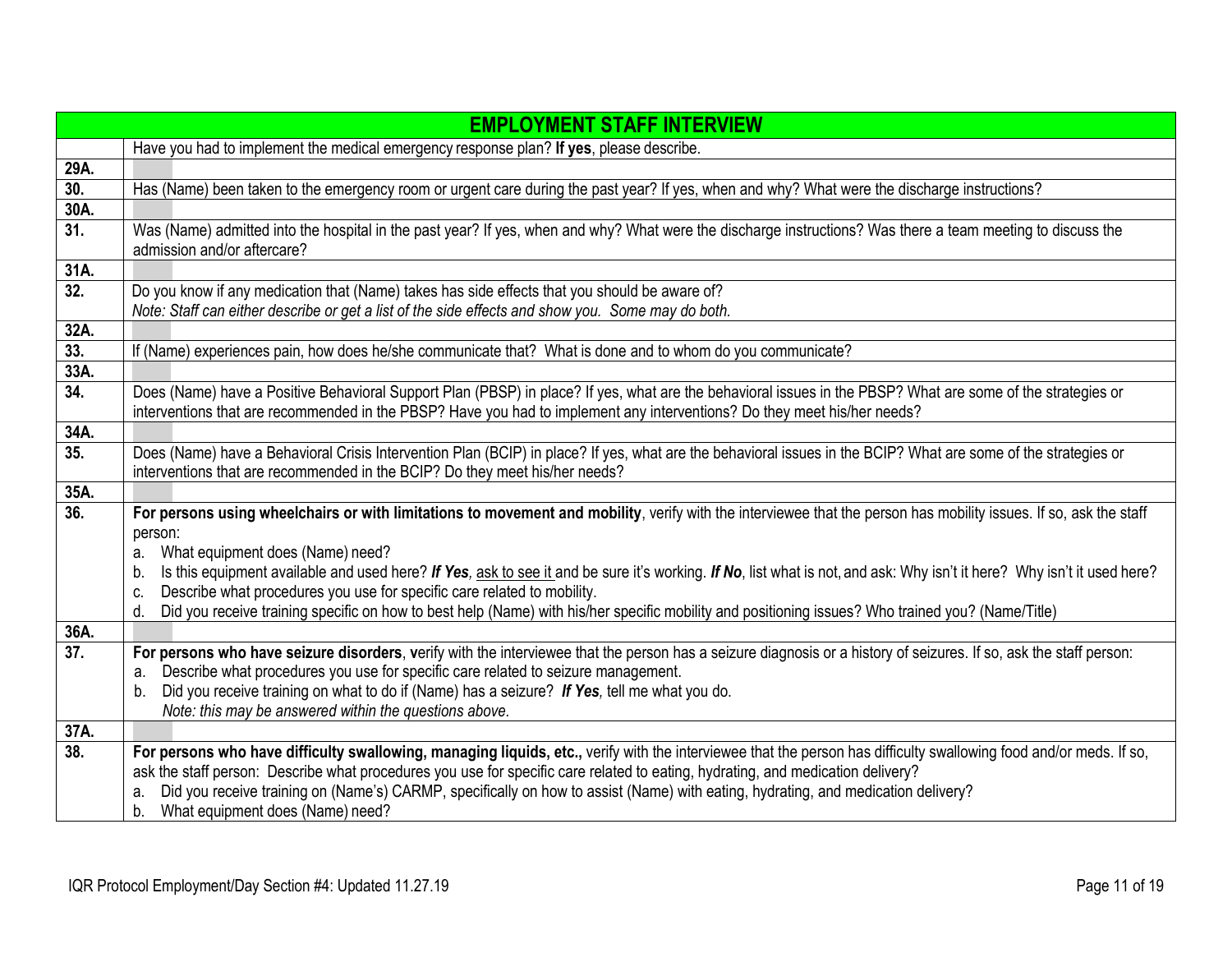|      | <b>EMPLOYMENT STAFF INTERVIEW</b>                                                                                                                                                                                                                        |
|------|----------------------------------------------------------------------------------------------------------------------------------------------------------------------------------------------------------------------------------------------------------|
|      | Have you had to implement the medical emergency response plan? If yes, please describe.                                                                                                                                                                  |
| 29A. |                                                                                                                                                                                                                                                          |
| 30.  | Has (Name) been taken to the emergency room or urgent care during the past year? If yes, when and why? What were the discharge instructions?                                                                                                             |
| 30A. |                                                                                                                                                                                                                                                          |
| 31.  | Was (Name) admitted into the hospital in the past year? If yes, when and why? What were the discharge instructions? Was there a team meeting to discuss the<br>admission and/or aftercare?                                                               |
| 31A. |                                                                                                                                                                                                                                                          |
| 32.  | Do you know if any medication that (Name) takes has side effects that you should be aware of?                                                                                                                                                            |
|      | Note: Staff can either describe or get a list of the side effects and show you. Some may do both.                                                                                                                                                        |
| 32A. |                                                                                                                                                                                                                                                          |
| 33.  | If (Name) experiences pain, how does he/she communicate that? What is done and to whom do you communicate?                                                                                                                                               |
| 33A. |                                                                                                                                                                                                                                                          |
| 34.  | Does (Name) have a Positive Behavioral Support Plan (PBSP) in place? If yes, what are the behavioral issues in the PBSP? What are some of the strategies or                                                                                              |
|      | interventions that are recommended in the PBSP? Have you had to implement any interventions? Do they meet his/her needs?                                                                                                                                 |
| 34A. |                                                                                                                                                                                                                                                          |
| 35.  | Does (Name) have a Behavioral Crisis Intervention Plan (BCIP) in place? If yes, what are the behavioral issues in the BCIP? What are some of the strategies or                                                                                           |
|      | interventions that are recommended in the BCIP? Do they meet his/her needs?                                                                                                                                                                              |
| 35A. |                                                                                                                                                                                                                                                          |
| 36.  | For persons using wheelchairs or with limitations to movement and mobility, verify with the interviewee that the person has mobility issues. If so, ask the staff                                                                                        |
|      | person:                                                                                                                                                                                                                                                  |
|      | What equipment does (Name) need?<br>a.                                                                                                                                                                                                                   |
|      | Is this equipment available and used here? If Yes, ask to see it and be sure it's working. If No, list what is not, and ask: Why isn't it here? Why isn't it used here?<br>b.<br>Describe what procedures you use for specific care related to mobility. |
|      | c.<br>Did you receive training specific on how to best help (Name) with his/her specific mobility and positioning issues? Who trained you? (Name/Title)<br>d.                                                                                            |
| 36A. |                                                                                                                                                                                                                                                          |
| 37.  | For persons who have seizure disorders, verify with the interviewee that the person has a seizure diagnosis or a history of seizures. If so, ask the staff person:                                                                                       |
|      | Describe what procedures you use for specific care related to seizure management.<br>a.                                                                                                                                                                  |
|      | Did you receive training on what to do if (Name) has a seizure? If Yes, tell me what you do.<br>b.                                                                                                                                                       |
|      | Note: this may be answered within the questions above.                                                                                                                                                                                                   |
| 37A. |                                                                                                                                                                                                                                                          |
| 38.  | For persons who have difficulty swallowing, managing liquids, etc., verify with the interviewee that the person has difficulty swallowing food and/or meds. If so,                                                                                       |
|      | ask the staff person: Describe what procedures you use for specific care related to eating, hydrating, and medication delivery?                                                                                                                          |
|      | Did you receive training on (Name's) CARMP, specifically on how to assist (Name) with eating, hydrating, and medication delivery?<br>a.                                                                                                                  |
|      | b. What equipment does (Name) need?                                                                                                                                                                                                                      |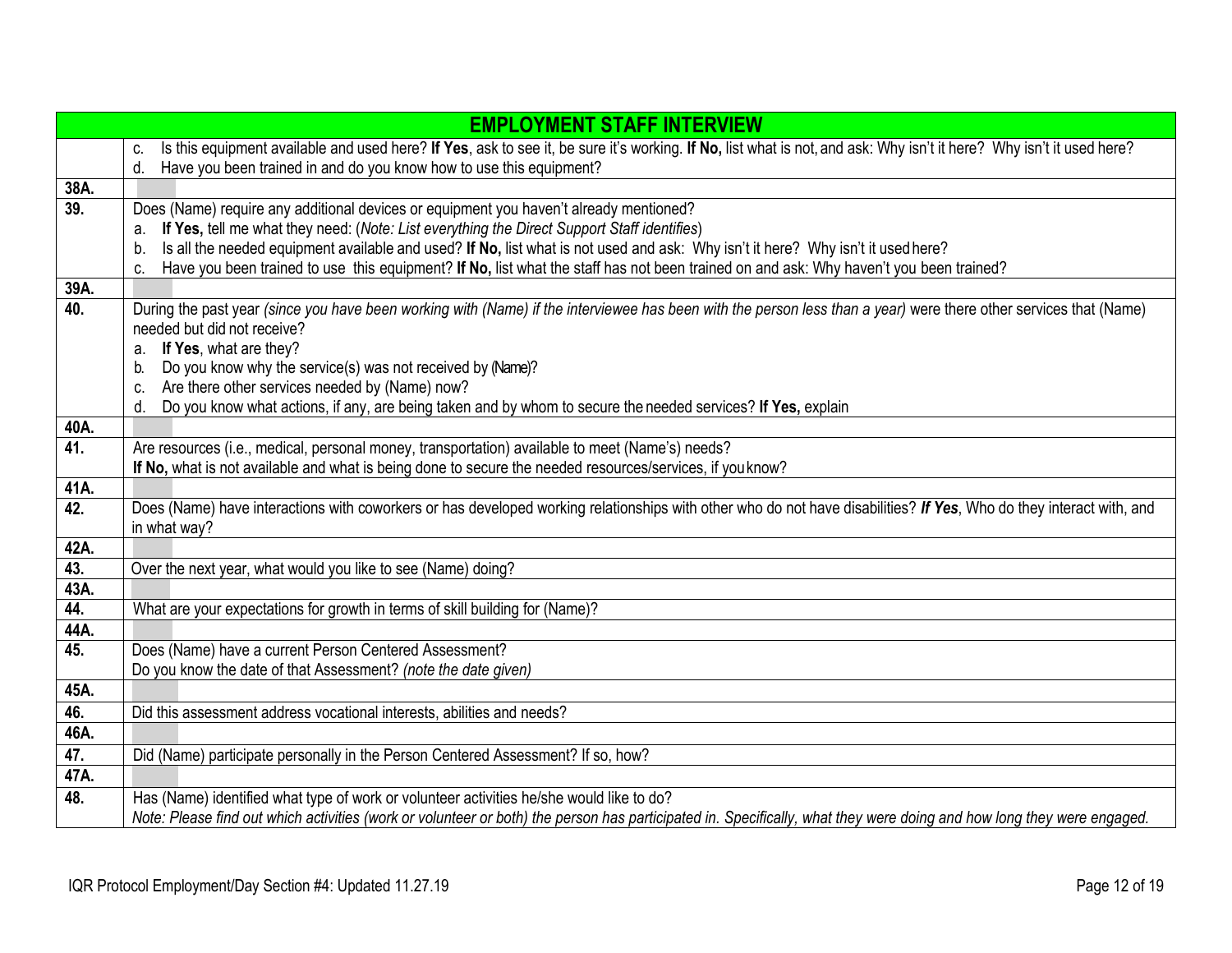|             | <b>EMPLOYMENT STAFF INTERVIEW</b>                                                                                                                                                                            |  |  |  |  |
|-------------|--------------------------------------------------------------------------------------------------------------------------------------------------------------------------------------------------------------|--|--|--|--|
|             | Is this equipment available and used here? If Yes, ask to see it, be sure it's working. If No, list what is not, and ask: Why isn't it here? Why isn't it used here?<br>C.                                   |  |  |  |  |
|             | d.<br>Have you been trained in and do you know how to use this equipment?                                                                                                                                    |  |  |  |  |
| 38A.        |                                                                                                                                                                                                              |  |  |  |  |
| 39.         | Does (Name) require any additional devices or equipment you haven't already mentioned?                                                                                                                       |  |  |  |  |
|             | If Yes, tell me what they need: (Note: List everything the Direct Support Staff identifies)<br>a.                                                                                                            |  |  |  |  |
|             | Is all the needed equipment available and used? If No, list what is not used and ask: Why isn't it here? Why isn't it used here?<br>b.                                                                       |  |  |  |  |
|             | Have you been trained to use this equipment? If No, list what the staff has not been trained on and ask: Why haven't you been trained?<br>C.                                                                 |  |  |  |  |
| 39A.        |                                                                                                                                                                                                              |  |  |  |  |
| 40.         | During the past year (since you have been working with (Name) if the interviewee has been with the person less than a year) were there other services that (Name)                                            |  |  |  |  |
|             | needed but did not receive?                                                                                                                                                                                  |  |  |  |  |
|             | If Yes, what are they?<br>a.                                                                                                                                                                                 |  |  |  |  |
|             | Do you know why the service(s) was not received by (Name)?<br>b.                                                                                                                                             |  |  |  |  |
|             | Are there other services needed by (Name) now?<br>C.                                                                                                                                                         |  |  |  |  |
|             | Do you know what actions, if any, are being taken and by whom to secure the needed services? If Yes, explain<br>d.                                                                                           |  |  |  |  |
| 40A.<br>41. |                                                                                                                                                                                                              |  |  |  |  |
|             | Are resources (i.e., medical, personal money, transportation) available to meet (Name's) needs?<br>If No, what is not available and what is being done to secure the needed resources/services, if you know? |  |  |  |  |
| 41A.        |                                                                                                                                                                                                              |  |  |  |  |
| 42.         | Does (Name) have interactions with coworkers or has developed working relationships with other who do not have disabilities? If Yes, Who do they interact with, and                                          |  |  |  |  |
|             | in what way?                                                                                                                                                                                                 |  |  |  |  |
| 42A.        |                                                                                                                                                                                                              |  |  |  |  |
| 43.         | Over the next year, what would you like to see (Name) doing?                                                                                                                                                 |  |  |  |  |
| 43A.        |                                                                                                                                                                                                              |  |  |  |  |
| 44.         | What are your expectations for growth in terms of skill building for (Name)?                                                                                                                                 |  |  |  |  |
| 44A.        |                                                                                                                                                                                                              |  |  |  |  |
| 45.         | Does (Name) have a current Person Centered Assessment?                                                                                                                                                       |  |  |  |  |
|             | Do you know the date of that Assessment? (note the date given)                                                                                                                                               |  |  |  |  |
| 45A.        |                                                                                                                                                                                                              |  |  |  |  |
| 46.         | Did this assessment address vocational interests, abilities and needs?                                                                                                                                       |  |  |  |  |
| 46A.        |                                                                                                                                                                                                              |  |  |  |  |
| 47.         | Did (Name) participate personally in the Person Centered Assessment? If so, how?                                                                                                                             |  |  |  |  |
| 47A.        |                                                                                                                                                                                                              |  |  |  |  |
| 48.         | Has (Name) identified what type of work or volunteer activities he/she would like to do?                                                                                                                     |  |  |  |  |
|             | Note: Please find out which activities (work or volunteer or both) the person has participated in. Specifically, what they were doing and how long they were engaged.                                        |  |  |  |  |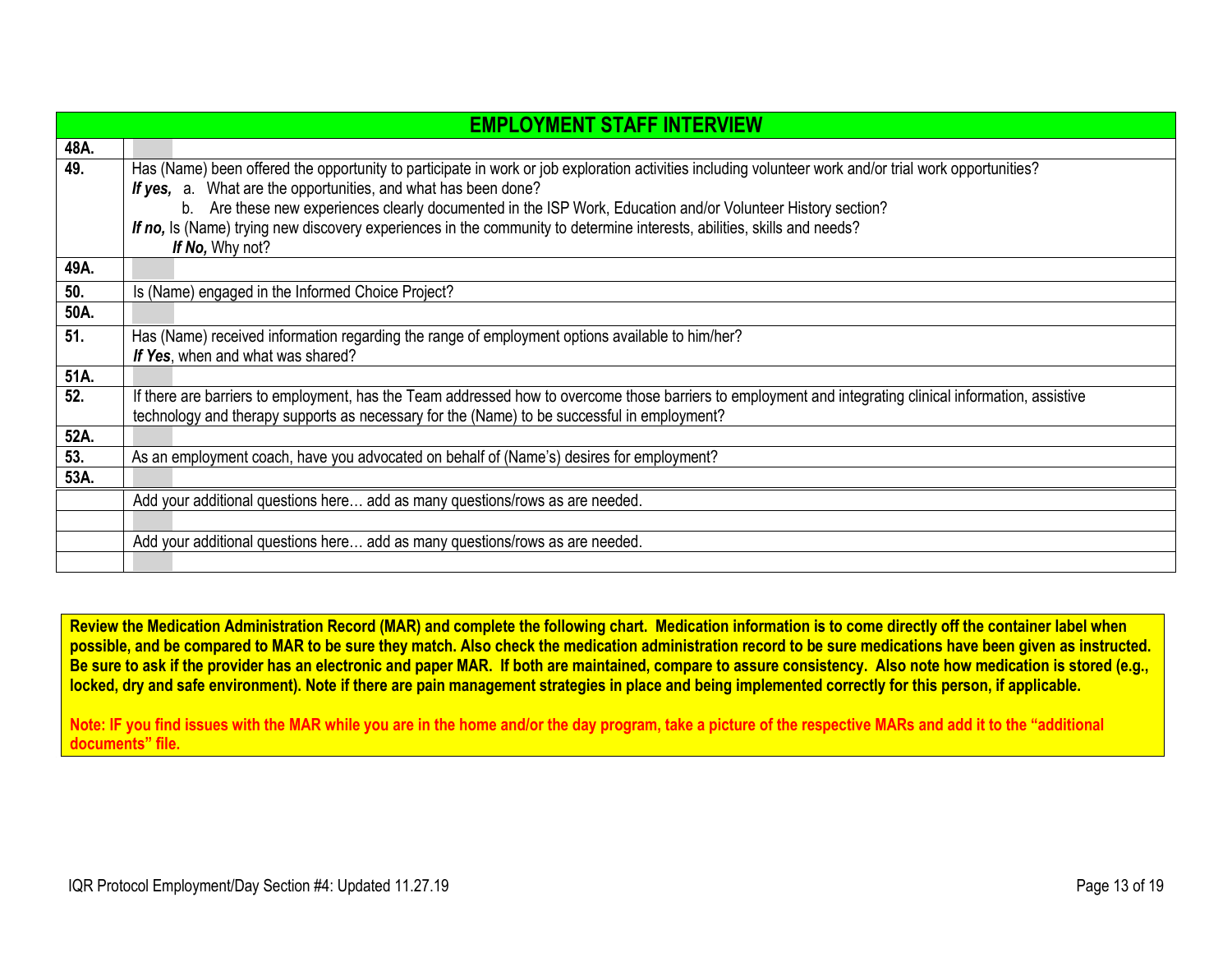|      | <b>EMPLOYMENT STAFF INTERVIEW</b>                                                                                                                        |  |  |  |
|------|----------------------------------------------------------------------------------------------------------------------------------------------------------|--|--|--|
| 48A. |                                                                                                                                                          |  |  |  |
| 49.  | Has (Name) been offered the opportunity to participate in work or job exploration activities including volunteer work and/or trial work opportunities?   |  |  |  |
|      | If yes, a. What are the opportunities, and what has been done?                                                                                           |  |  |  |
|      | b. Are these new experiences clearly documented in the ISP Work, Education and/or Volunteer History section?                                             |  |  |  |
|      | If no, Is (Name) trying new discovery experiences in the community to determine interests, abilities, skills and needs?                                  |  |  |  |
|      | If No, Why not?                                                                                                                                          |  |  |  |
| 49A. |                                                                                                                                                          |  |  |  |
| 50.  | Is (Name) engaged in the Informed Choice Project?                                                                                                        |  |  |  |
| 50A. |                                                                                                                                                          |  |  |  |
| 51.  | Has (Name) received information regarding the range of employment options available to him/her?                                                          |  |  |  |
|      | If Yes, when and what was shared?                                                                                                                        |  |  |  |
| 51A. |                                                                                                                                                          |  |  |  |
| 52.  | If there are barriers to employment, has the Team addressed how to overcome those barriers to employment and integrating clinical information, assistive |  |  |  |
|      | technology and therapy supports as necessary for the (Name) to be successful in employment?                                                              |  |  |  |
| 52A. |                                                                                                                                                          |  |  |  |
| 53.  | As an employment coach, have you advocated on behalf of (Name's) desires for employment?                                                                 |  |  |  |
| 53A. |                                                                                                                                                          |  |  |  |
|      | Add your additional questions here add as many questions/rows as are needed.                                                                             |  |  |  |
|      |                                                                                                                                                          |  |  |  |
|      | Add your additional questions here add as many questions/rows as are needed.                                                                             |  |  |  |
|      |                                                                                                                                                          |  |  |  |

**Review the Medication Administration Record (MAR) and complete the following chart. Medication information is to come directly off the container label when possible, and be compared to MAR to be sure they match. Also check the medication administration record to be sure medications have been given as instructed. Be sure to ask if the provider has an electronic and paper MAR. If both are maintained, compare to assure consistency. Also note how medication is stored (e.g., locked, dry and safe environment). Note if there are pain management strategies in place and being implemented correctly for this person, if applicable.** 

**Note: IF you find issues with the MAR while you are in the home and/or the day program, take a picture of the respective MARs and add it to the "additional documents" file.**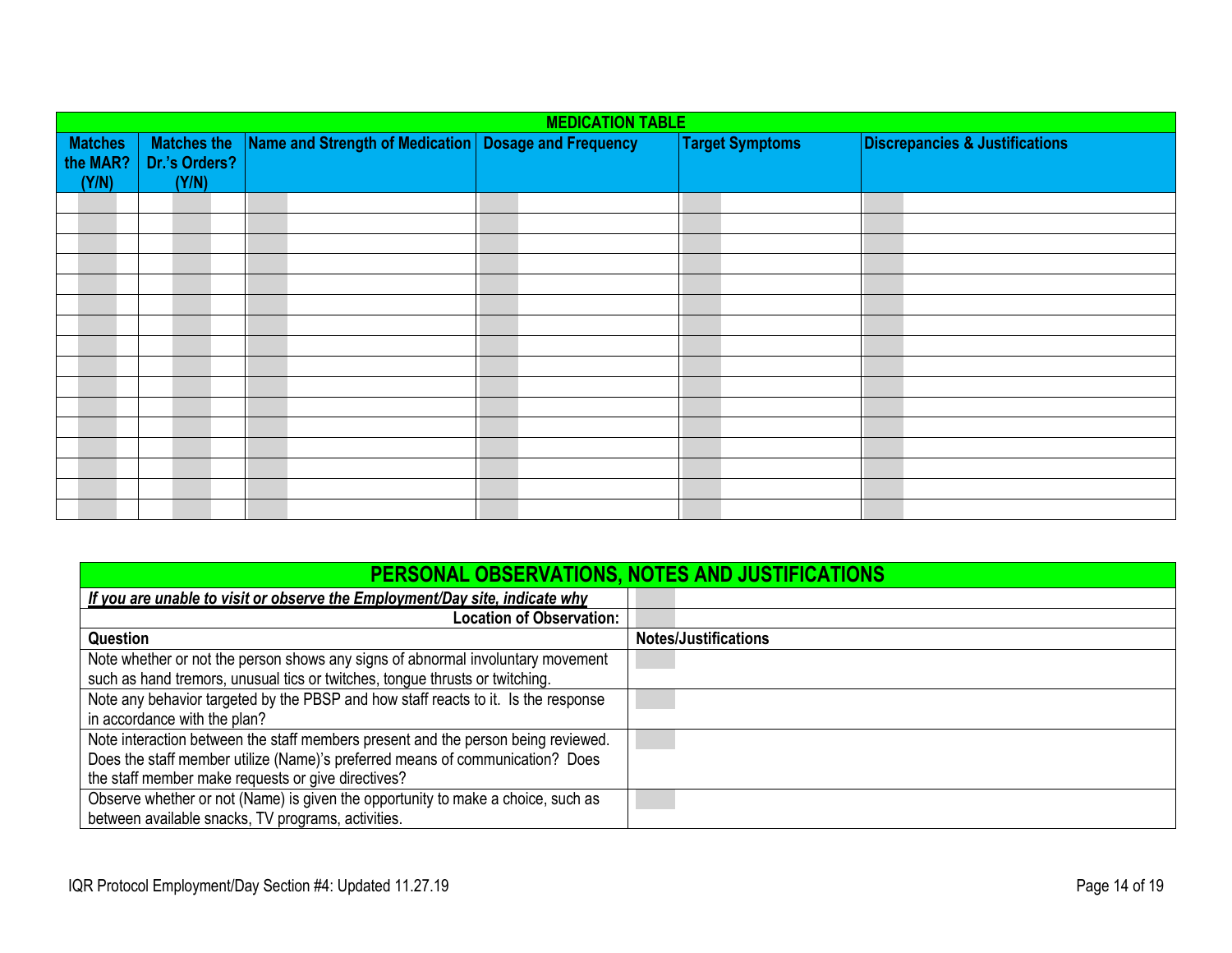<span id="page-13-0"></span>

| <b>MEDICATION TABLE</b>    |                                     |                                                        |  |                        |                                           |
|----------------------------|-------------------------------------|--------------------------------------------------------|--|------------------------|-------------------------------------------|
| <b>Matches</b><br>the MAR? | <b>Matches the</b><br>Dr.'s Orders? | Name and Strength of Medication   Dosage and Frequency |  | <b>Target Symptoms</b> | <b>Discrepancies &amp; Justifications</b> |
| (Y/N)                      | (Y/N)                               |                                                        |  |                        |                                           |
|                            |                                     |                                                        |  |                        |                                           |
|                            |                                     |                                                        |  |                        |                                           |
|                            |                                     |                                                        |  |                        |                                           |
|                            |                                     |                                                        |  |                        |                                           |
|                            |                                     |                                                        |  |                        |                                           |
|                            |                                     |                                                        |  |                        |                                           |
|                            |                                     |                                                        |  |                        |                                           |
|                            |                                     |                                                        |  |                        |                                           |
|                            |                                     |                                                        |  |                        |                                           |
|                            |                                     |                                                        |  |                        |                                           |
|                            |                                     |                                                        |  |                        |                                           |
|                            |                                     |                                                        |  |                        |                                           |
|                            |                                     |                                                        |  |                        |                                           |
|                            |                                     |                                                        |  |                        |                                           |
|                            |                                     |                                                        |  |                        |                                           |
|                            |                                     |                                                        |  |                        |                                           |

<span id="page-13-1"></span>

| PERSONAL OBSERVATIONS, NOTES AND JUSTIFICATIONS                                    |                             |  |
|------------------------------------------------------------------------------------|-----------------------------|--|
| If you are unable to visit or observe the Employment/Day site, indicate why        |                             |  |
| <b>Location of Observation:</b>                                                    |                             |  |
| Question                                                                           | <b>Notes/Justifications</b> |  |
| Note whether or not the person shows any signs of abnormal involuntary movement    |                             |  |
| such as hand tremors, unusual tics or twitches, tongue thrusts or twitching.       |                             |  |
| Note any behavior targeted by the PBSP and how staff reacts to it. Is the response |                             |  |
| in accordance with the plan?                                                       |                             |  |
| Note interaction between the staff members present and the person being reviewed.  |                             |  |
| Does the staff member utilize (Name)'s preferred means of communication? Does      |                             |  |
| the staff member make requests or give directives?                                 |                             |  |
| Observe whether or not (Name) is given the opportunity to make a choice, such as   |                             |  |
| between available snacks, TV programs, activities.                                 |                             |  |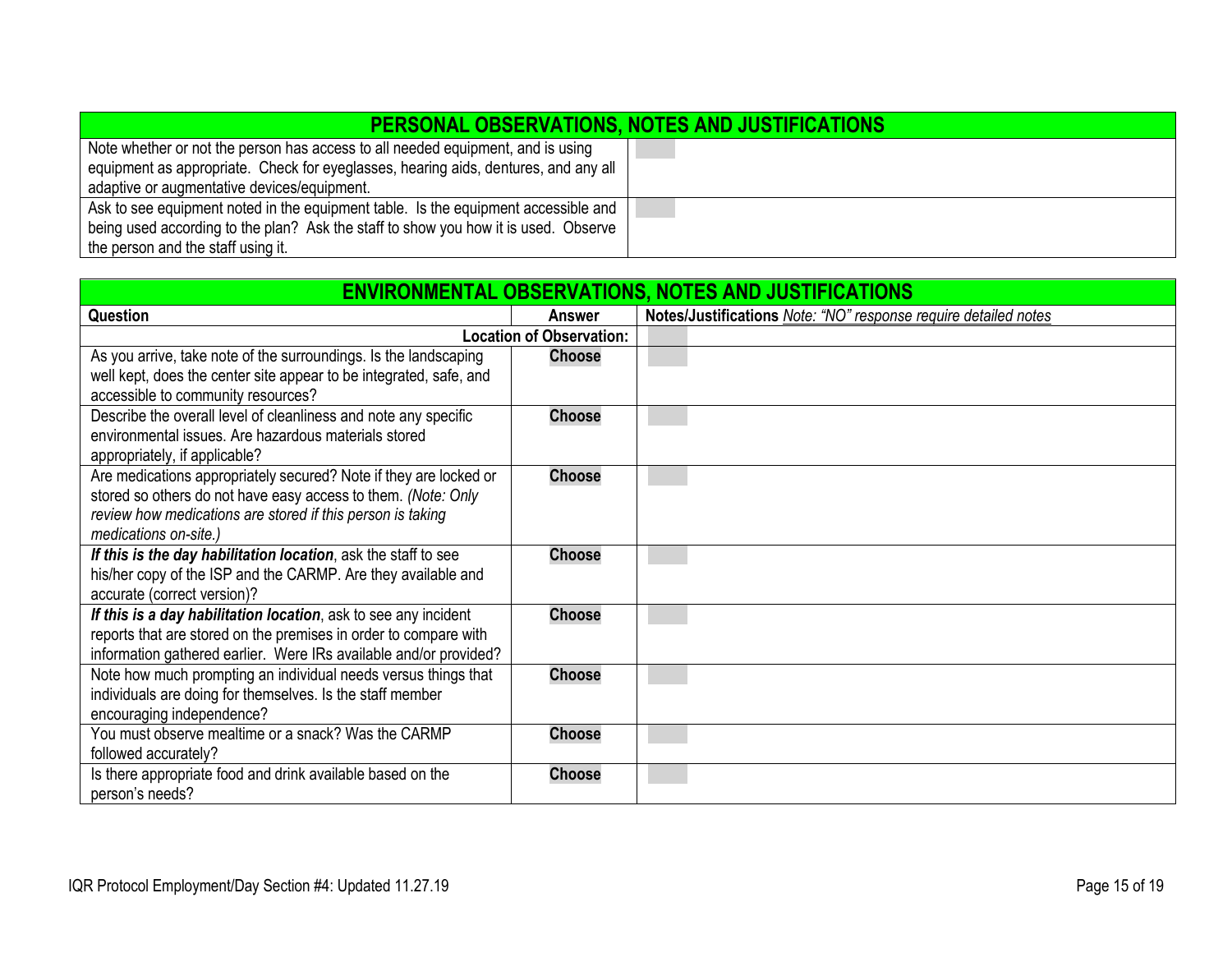| <b>PERSONAL OBSERVATIONS, NOTES AND JUSTIFICATIONS</b>                              |  |  |
|-------------------------------------------------------------------------------------|--|--|
| Note whether or not the person has access to all needed equipment, and is using     |  |  |
| equipment as appropriate. Check for eyeglasses, hearing aids, dentures, and any all |  |  |
| adaptive or augmentative devices/equipment.                                         |  |  |
| Ask to see equipment noted in the equipment table. Is the equipment accessible and  |  |  |
| being used according to the plan? Ask the staff to show you how it is used. Observe |  |  |
| the person and the staff using it.                                                  |  |  |

<span id="page-14-0"></span>

| <b>ENVIRONMENTAL OBSERVATIONS, NOTES AND JUSTIFICATIONS</b>        |                                 |                                                                 |  |
|--------------------------------------------------------------------|---------------------------------|-----------------------------------------------------------------|--|
| <b>Question</b>                                                    | <b>Answer</b>                   | Notes/Justifications Note: "NO" response require detailed notes |  |
|                                                                    | <b>Location of Observation:</b> |                                                                 |  |
| As you arrive, take note of the surroundings. Is the landscaping   | <b>Choose</b>                   |                                                                 |  |
| well kept, does the center site appear to be integrated, safe, and |                                 |                                                                 |  |
| accessible to community resources?                                 |                                 |                                                                 |  |
| Describe the overall level of cleanliness and note any specific    | <b>Choose</b>                   |                                                                 |  |
| environmental issues. Are hazardous materials stored               |                                 |                                                                 |  |
| appropriately, if applicable?                                      |                                 |                                                                 |  |
| Are medications appropriately secured? Note if they are locked or  | <b>Choose</b>                   |                                                                 |  |
| stored so others do not have easy access to them. (Note: Only      |                                 |                                                                 |  |
| review how medications are stored if this person is taking         |                                 |                                                                 |  |
| medications on-site.)                                              |                                 |                                                                 |  |
| If this is the day habilitation location, ask the staff to see     | <b>Choose</b>                   |                                                                 |  |
| his/her copy of the ISP and the CARMP. Are they available and      |                                 |                                                                 |  |
| accurate (correct version)?                                        |                                 |                                                                 |  |
| If this is a day habilitation location, ask to see any incident    | <b>Choose</b>                   |                                                                 |  |
| reports that are stored on the premises in order to compare with   |                                 |                                                                 |  |
| information gathered earlier. Were IRs available and/or provided?  |                                 |                                                                 |  |
| Note how much prompting an individual needs versus things that     | <b>Choose</b>                   |                                                                 |  |
| individuals are doing for themselves. Is the staff member          |                                 |                                                                 |  |
| encouraging independence?                                          |                                 |                                                                 |  |
| You must observe mealtime or a snack? Was the CARMP                | <b>Choose</b>                   |                                                                 |  |
| followed accurately?                                               |                                 |                                                                 |  |
| Is there appropriate food and drink available based on the         | <b>Choose</b>                   |                                                                 |  |
| person's needs?                                                    |                                 |                                                                 |  |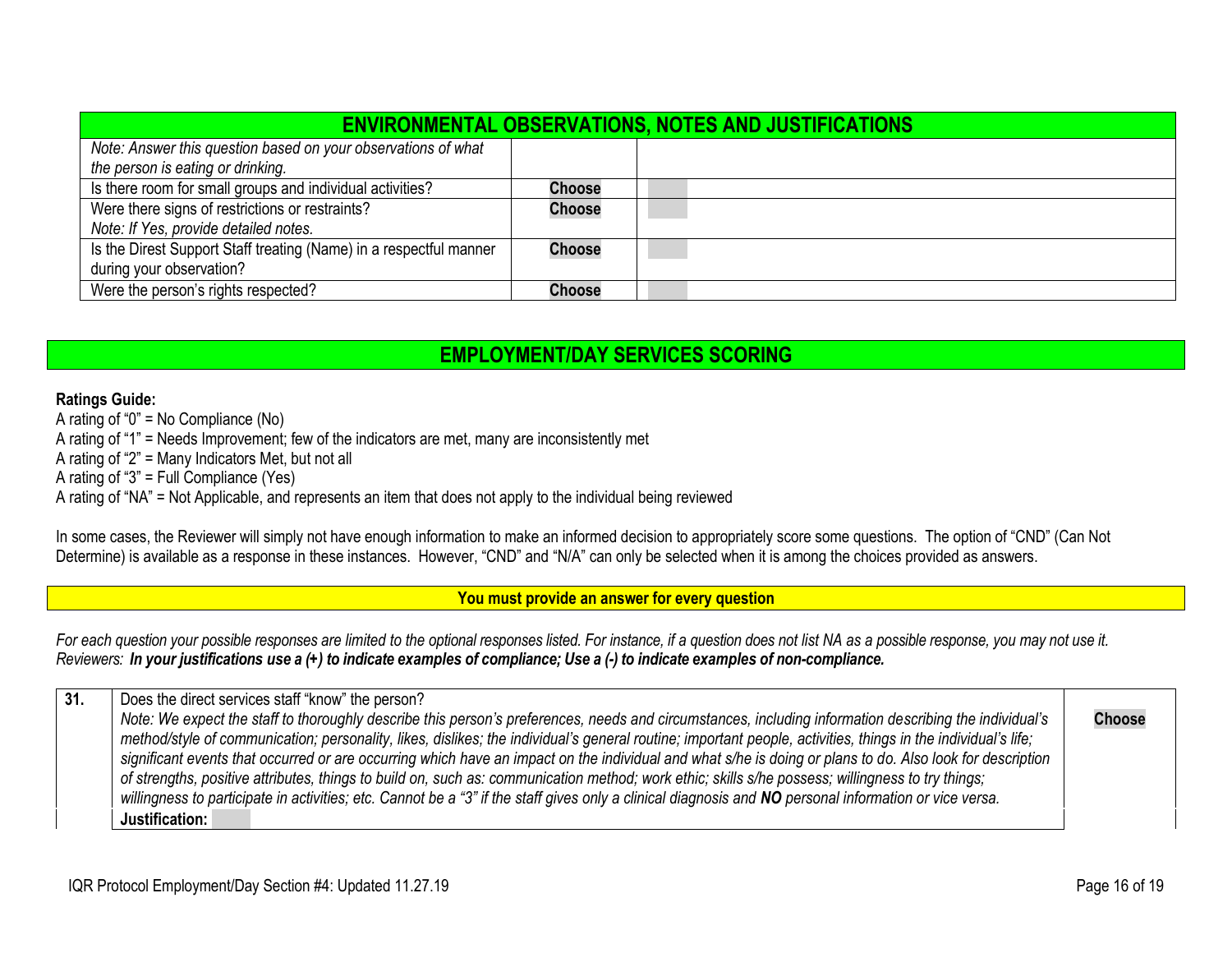| <b>ENVIRONMENTAL OBSERVATIONS, NOTES AND JUSTIFICATIONS</b>        |               |  |  |
|--------------------------------------------------------------------|---------------|--|--|
| Note: Answer this question based on your observations of what      |               |  |  |
| the person is eating or drinking.                                  |               |  |  |
| Is there room for small groups and individual activities?          | Choose        |  |  |
| Were there signs of restrictions or restraints?                    | <b>Choose</b> |  |  |
| Note: If Yes, provide detailed notes.                              |               |  |  |
| Is the Direst Support Staff treating (Name) in a respectful manner | <b>Choose</b> |  |  |
| during your observation?                                           |               |  |  |
| Were the person's rights respected?                                | Choose        |  |  |

## **EMPLOYMENT/DAY SERVICES SCORING**

## <span id="page-15-0"></span>**Ratings Guide:**

A rating of "0" = No Compliance (No)

A rating of "1" = Needs Improvement; few of the indicators are met, many are inconsistently met

A rating of "2" = Many Indicators Met, but not all

A rating of "3" = Full Compliance (Yes)

A rating of "NA" = Not Applicable, and represents an item that does not apply to the individual being reviewed

In some cases, the Reviewer will simply not have enough information to make an informed decision to appropriately score some questions. The option of "CND" (Can Not Determine) is available as a response in these instances. However, "CND" and "N/A" can only be selected when it is among the choices provided as answers.

<span id="page-15-1"></span>**You must provide an answer for every question**

*For each question your possible responses are limited to the optional responses listed. For instance, if a question does not list NA as a possible response, you may not use it.* Reviewers: In your justifications use a (+) to indicate examples of compliance; Use a (-) to indicate examples of non-compliance.

**31.** Does the direct services staff "know" the person? *Note: We expect the staff to thoroughly describe this person's preferences, needs and circumstances, including information describing the individual's method/style of communication; personality, likes, dislikes; the individual's general routine; important people, activities, things in the individual's life; significant events that occurred or are occurring which have an impact on the individual and what s/he is doing or plans to do. Also look for description of strengths, positive attributes, things to build on, such as: communication method; work ethic; skills s/he possess; willingness to try things;*  willingness to participate in activities; etc. Cannot be a "3" if the staff gives only a clinical diagnosis and **NO** personal information or vice versa. **Choose Justification:**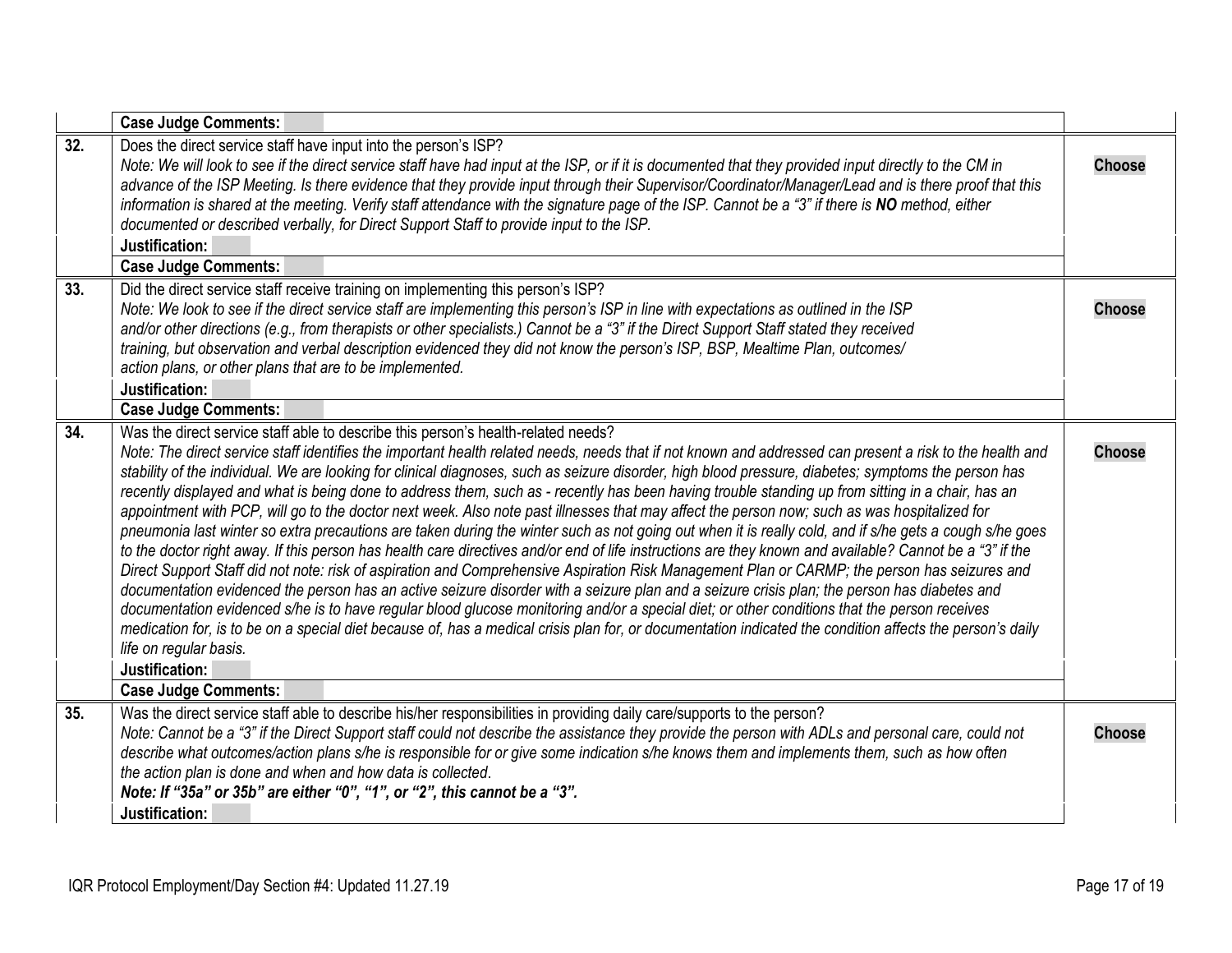<span id="page-16-3"></span><span id="page-16-2"></span><span id="page-16-1"></span><span id="page-16-0"></span>

|     | <b>Case Judge Comments:</b>                                                                                                                                                                                                                                                                                                                                                                                                                                                                                                                                                                                                                                                                                                                                                                                                                                                                                                                                                                                                                                                                                                                                                                                                                                                                                                                                                                                                                                                                                                                                                                                                           |               |
|-----|---------------------------------------------------------------------------------------------------------------------------------------------------------------------------------------------------------------------------------------------------------------------------------------------------------------------------------------------------------------------------------------------------------------------------------------------------------------------------------------------------------------------------------------------------------------------------------------------------------------------------------------------------------------------------------------------------------------------------------------------------------------------------------------------------------------------------------------------------------------------------------------------------------------------------------------------------------------------------------------------------------------------------------------------------------------------------------------------------------------------------------------------------------------------------------------------------------------------------------------------------------------------------------------------------------------------------------------------------------------------------------------------------------------------------------------------------------------------------------------------------------------------------------------------------------------------------------------------------------------------------------------|---------------|
| 32. | Does the direct service staff have input into the person's ISP?<br>Note: We will look to see if the direct service staff have had input at the ISP, or if it is documented that they provided input directly to the CM in<br>advance of the ISP Meeting. Is there evidence that they provide input through their Supervisor/Coordinator/Manager/Lead and is there proof that this<br>information is shared at the meeting. Verify staff attendance with the signature page of the ISP. Cannot be a "3" if there is NO method, either<br>documented or described verbally, for Direct Support Staff to provide input to the ISP.<br>Justification:<br><b>Case Judge Comments:</b>                                                                                                                                                                                                                                                                                                                                                                                                                                                                                                                                                                                                                                                                                                                                                                                                                                                                                                                                                      | <b>Choose</b> |
| 33. | Did the direct service staff receive training on implementing this person's ISP?                                                                                                                                                                                                                                                                                                                                                                                                                                                                                                                                                                                                                                                                                                                                                                                                                                                                                                                                                                                                                                                                                                                                                                                                                                                                                                                                                                                                                                                                                                                                                      |               |
|     | Note: We look to see if the direct service staff are implementing this person's ISP in line with expectations as outlined in the ISP<br>and/or other directions (e.g., from therapists or other specialists.) Cannot be a "3" if the Direct Support Staff stated they received<br>training, but observation and verbal description evidenced they did not know the person's ISP, BSP, Mealtime Plan, outcomes/<br>action plans, or other plans that are to be implemented.<br>Justification:<br><b>Case Judge Comments:</b>                                                                                                                                                                                                                                                                                                                                                                                                                                                                                                                                                                                                                                                                                                                                                                                                                                                                                                                                                                                                                                                                                                           | <b>Choose</b> |
| 34. | Was the direct service staff able to describe this person's health-related needs?                                                                                                                                                                                                                                                                                                                                                                                                                                                                                                                                                                                                                                                                                                                                                                                                                                                                                                                                                                                                                                                                                                                                                                                                                                                                                                                                                                                                                                                                                                                                                     |               |
|     | Note: The direct service staff identifies the important health related needs, needs that if not known and addressed can present a risk to the health and<br>stability of the individual. We are looking for clinical diagnoses, such as seizure disorder, high blood pressure, diabetes; symptoms the person has<br>recently displayed and what is being done to address them, such as - recently has been having trouble standing up from sitting in a chair, has an<br>appointment with PCP, will go to the doctor next week. Also note past illnesses that may affect the person now; such as was hospitalized for<br>pneumonia last winter so extra precautions are taken during the winter such as not going out when it is really cold, and if s/he gets a cough s/he goes<br>to the doctor right away. If this person has health care directives and/or end of life instructions are they known and available? Cannot be a "3" if the<br>Direct Support Staff did not note: risk of aspiration and Comprehensive Aspiration Risk Management Plan or CARMP; the person has seizures and<br>documentation evidenced the person has an active seizure disorder with a seizure plan and a seizure crisis plan; the person has diabetes and<br>documentation evidenced s/he is to have regular blood glucose monitoring and/or a special diet; or other conditions that the person receives<br>medication for, is to be on a special diet because of, has a medical crisis plan for, or documentation indicated the condition affects the person's daily<br>life on regular basis.<br>Justification:<br><b>Case Judge Comments:</b> | <b>Choose</b> |
| 35. | Was the direct service staff able to describe his/her responsibilities in providing daily care/supports to the person?                                                                                                                                                                                                                                                                                                                                                                                                                                                                                                                                                                                                                                                                                                                                                                                                                                                                                                                                                                                                                                                                                                                                                                                                                                                                                                                                                                                                                                                                                                                |               |
|     | Note: Cannot be a "3" if the Direct Support staff could not describe the assistance they provide the person with ADLs and personal care, could not<br>describe what outcomes/action plans s/he is responsible for or give some indication s/he knows them and implements them, such as how often<br>the action plan is done and when and how data is collected.<br>Note: If "35a" or 35b" are either "0", "1", or "2", this cannot be a "3".<br>Justification:                                                                                                                                                                                                                                                                                                                                                                                                                                                                                                                                                                                                                                                                                                                                                                                                                                                                                                                                                                                                                                                                                                                                                                        | <b>Choose</b> |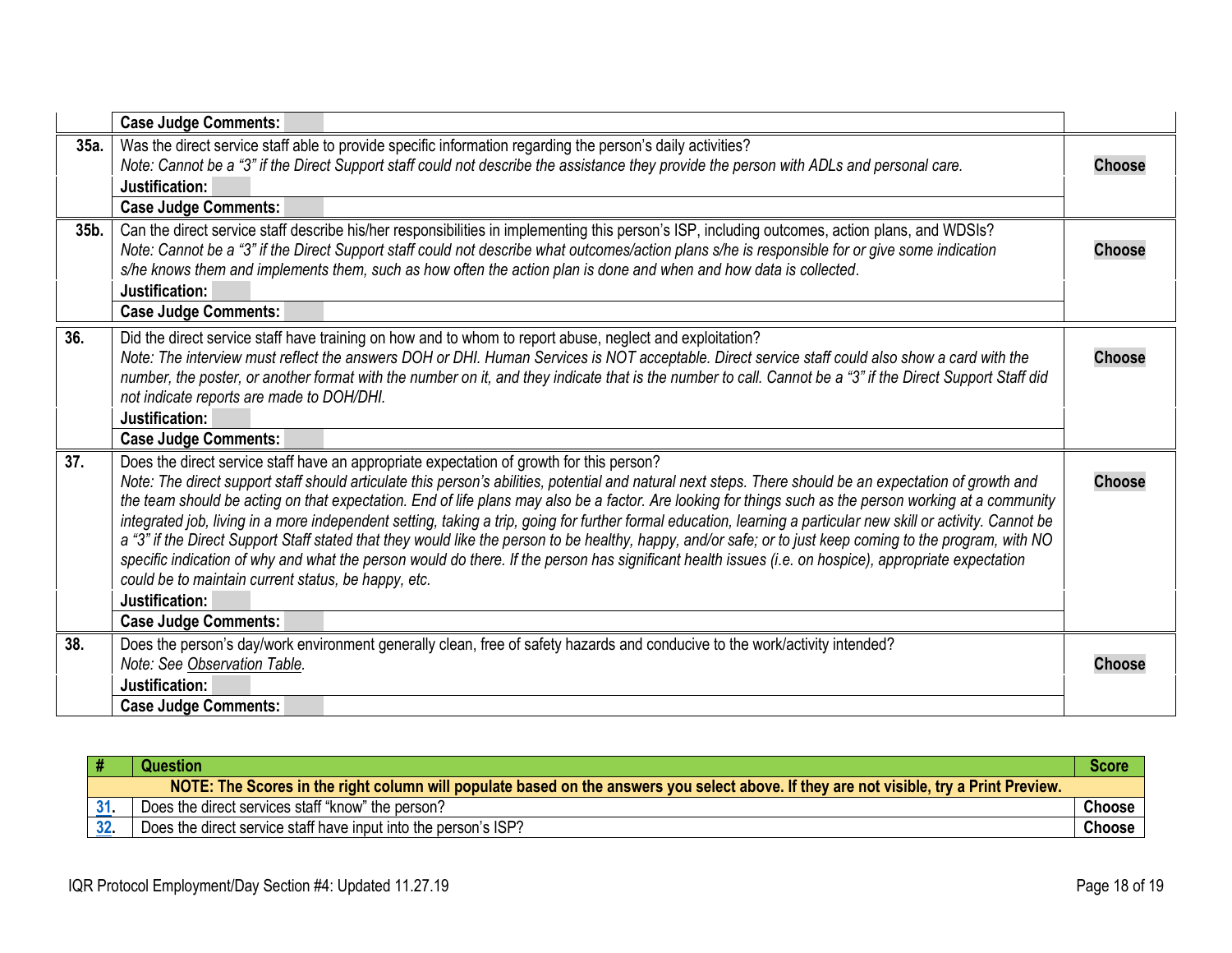<span id="page-17-3"></span><span id="page-17-2"></span><span id="page-17-0"></span>

|      | <b>Case Judge Comments:</b>                                                                                                                                                                                                                                                                                                                                                                                                                                                                                                                                                                                                                                                                                                                                                                                                                                                            |               |
|------|----------------------------------------------------------------------------------------------------------------------------------------------------------------------------------------------------------------------------------------------------------------------------------------------------------------------------------------------------------------------------------------------------------------------------------------------------------------------------------------------------------------------------------------------------------------------------------------------------------------------------------------------------------------------------------------------------------------------------------------------------------------------------------------------------------------------------------------------------------------------------------------|---------------|
| 35a. | Was the direct service staff able to provide specific information regarding the person's daily activities?<br>Note: Cannot be a "3" if the Direct Support staff could not describe the assistance they provide the person with ADLs and personal care.<br>Justification:                                                                                                                                                                                                                                                                                                                                                                                                                                                                                                                                                                                                               | <b>Choose</b> |
|      | <b>Case Judge Comments:</b>                                                                                                                                                                                                                                                                                                                                                                                                                                                                                                                                                                                                                                                                                                                                                                                                                                                            |               |
| 35b. | Can the direct service staff describe his/her responsibilities in implementing this person's ISP, including outcomes, action plans, and WDSIs?<br>Note: Cannot be a "3" if the Direct Support staff could not describe what outcomes/action plans s/he is responsible for or give some indication<br>s/he knows them and implements them, such as how often the action plan is done and when and how data is collected.                                                                                                                                                                                                                                                                                                                                                                                                                                                                | <b>Choose</b> |
|      | Justification:                                                                                                                                                                                                                                                                                                                                                                                                                                                                                                                                                                                                                                                                                                                                                                                                                                                                         |               |
|      | <b>Case Judge Comments:</b>                                                                                                                                                                                                                                                                                                                                                                                                                                                                                                                                                                                                                                                                                                                                                                                                                                                            |               |
| 36.  | Did the direct service staff have training on how and to whom to report abuse, neglect and exploitation?<br>Note: The interview must reflect the answers DOH or DHI. Human Services is NOT acceptable. Direct service staff could also show a card with the<br>number, the poster, or another format with the number on it, and they indicate that is the number to call. Cannot be a "3" if the Direct Support Staff did<br>not indicate reports are made to DOH/DHI.                                                                                                                                                                                                                                                                                                                                                                                                                 | <b>Choose</b> |
|      | Justification:                                                                                                                                                                                                                                                                                                                                                                                                                                                                                                                                                                                                                                                                                                                                                                                                                                                                         |               |
|      | <b>Case Judge Comments:</b>                                                                                                                                                                                                                                                                                                                                                                                                                                                                                                                                                                                                                                                                                                                                                                                                                                                            |               |
| 37.  | Does the direct service staff have an appropriate expectation of growth for this person?                                                                                                                                                                                                                                                                                                                                                                                                                                                                                                                                                                                                                                                                                                                                                                                               |               |
|      | Note: The direct support staff should articulate this person's abilities, potential and natural next steps. There should be an expectation of growth and<br>the team should be acting on that expectation. End of life plans may also be a factor. Are looking for things such as the person working at a community<br>integrated job, living in a more independent setting, taking a trip, going for further formal education, learning a particular new skill or activity. Cannot be<br>a "3" if the Direct Support Staff stated that they would like the person to be healthy, happy, and/or safe; or to just keep coming to the program, with NO<br>specific indication of why and what the person would do there. If the person has significant health issues (i.e. on hospice), appropriate expectation<br>could be to maintain current status, be happy, etc.<br>Justification: | <b>Choose</b> |
|      | <b>Case Judge Comments:</b>                                                                                                                                                                                                                                                                                                                                                                                                                                                                                                                                                                                                                                                                                                                                                                                                                                                            |               |
| 38.  | Does the person's day/work environment generally clean, free of safety hazards and conducive to the work/activity intended?<br>Note: See Observation Table.<br>Justification:                                                                                                                                                                                                                                                                                                                                                                                                                                                                                                                                                                                                                                                                                                          | <b>Choose</b> |
|      | <b>Case Judge Comments:</b>                                                                                                                                                                                                                                                                                                                                                                                                                                                                                                                                                                                                                                                                                                                                                                                                                                                            |               |

<span id="page-17-4"></span><span id="page-17-1"></span>

| # | Question                                                                                                                                | Score  |
|---|-----------------------------------------------------------------------------------------------------------------------------------------|--------|
|   | NOTE: The Scores in the right column will populate based on the answers you select above. If they are not visible, try a Print Preview. |        |
|   | Does the direct services staff "know" the person?                                                                                       | Choose |
|   | Does the direct service staff have input into the person's ISP?                                                                         | Choose |